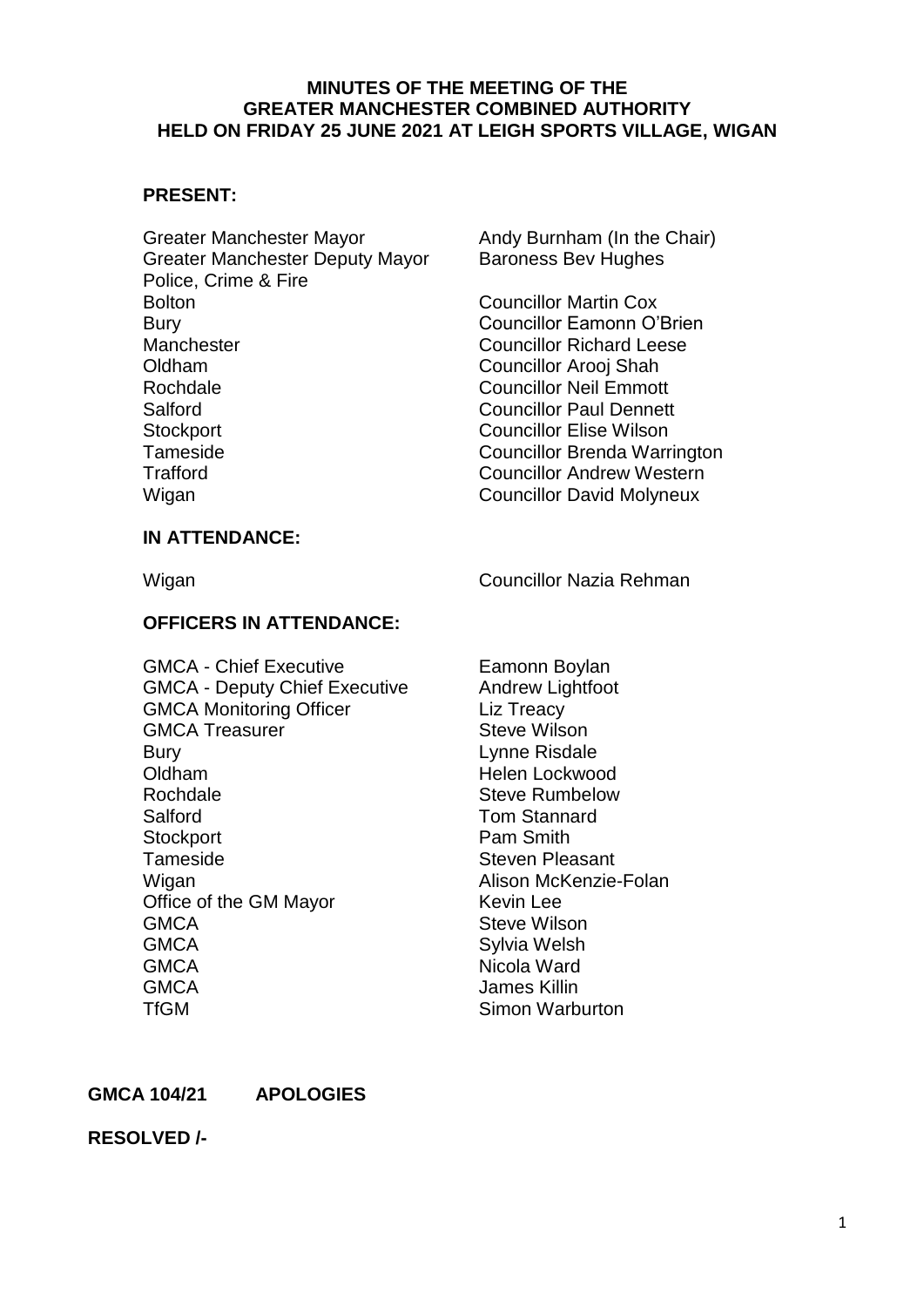#### **MINUTES OF THE MEETING OF THE GREATER MANCHESTER COMBINED AUTHORITY HELD ON FRIDAY 25 JUNE 2021 AT LEIGH SPORTS VILLAGE, WIGAN**

#### **PRESENT:**

Greater Manchester Mayor **Andy Burnham (In the Chair)** Greater Manchester Deputy Mayor Baroness Bev Hughes Police, Crime & Fire Bolton Councillor Martin Cox Bury Councillor Eamonn O'Brien Manchester Councillor Richard Leese Oldham Councillor Arooj Shah Rochdale Councillor Neil Emmott Salford Councillor Paul Dennett Stockport Councillor Elise Wilson Tameside Councillor Brenda Warrington<br>
Trafford Councillor Andrew Western Wigan **Councillor David Molyneux** 

Councillor Andrew Western

#### **IN ATTENDANCE:**

Wigan Councillor Nazia Rehman

### **OFFICERS IN ATTENDANCE:**

| <b>GMCA - Chief Executive</b>        | Eamonn Boylan          |
|--------------------------------------|------------------------|
| <b>GMCA - Deputy Chief Executive</b> | Andrew Lightfoot       |
| <b>GMCA Monitoring Officer</b>       | Liz Treacy             |
| <b>GMCA Treasurer</b>                | <b>Steve Wilson</b>    |
| <b>Bury</b>                          | Lynne Risdale          |
| Oldham                               | Helen Lockwood         |
| Rochdale                             | <b>Steve Rumbelow</b>  |
| Salford                              | <b>Tom Stannard</b>    |
| Stockport                            | Pam Smith              |
| Tameside                             | <b>Steven Pleasant</b> |
| Wigan                                | Alison McKenzie-Folan  |
| Office of the GM Mayor               | <b>Kevin Lee</b>       |
| <b>GMCA</b>                          | <b>Steve Wilson</b>    |
| <b>GMCA</b>                          | Sylvia Welsh           |
| <b>GMCA</b>                          | Nicola Ward            |
| <b>GMCA</b>                          | James Killin           |
| <b>TfGM</b>                          | Simon Warburton        |

#### **GMCA 104/21 APOLOGIES**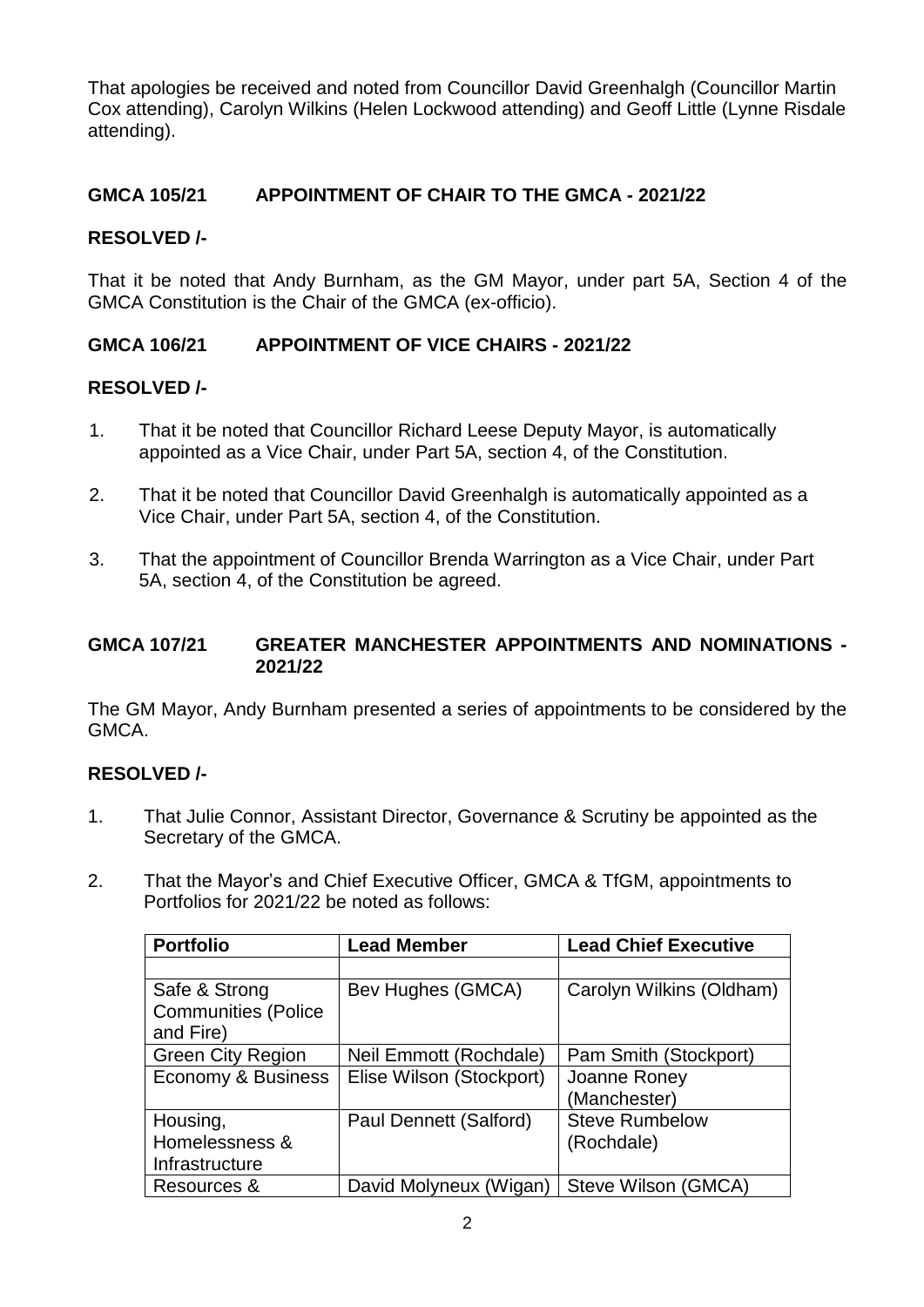That apologies be received and noted from Councillor David Greenhalgh (Councillor Martin Cox attending), Carolyn Wilkins (Helen Lockwood attending) and Geoff Little (Lynne Risdale attending).

## **GMCA 105/21 APPOINTMENT OF CHAIR TO THE GMCA - 2021/22**

### **RESOLVED /-**

That it be noted that Andy Burnham, as the GM Mayor, under part 5A, Section 4 of the GMCA Constitution is the Chair of the GMCA (ex-officio).

## **GMCA 106/21 APPOINTMENT OF VICE CHAIRS - 2021/22**

### **RESOLVED /-**

- 1. That it be noted that Councillor Richard Leese Deputy Mayor, is automatically appointed as a Vice Chair, under Part 5A, section 4, of the Constitution.
- 2. That it be noted that Councillor David Greenhalgh is automatically appointed as a Vice Chair, under Part 5A, section 4, of the Constitution.
- 3. That the appointment of Councillor Brenda Warrington as a Vice Chair, under Part 5A, section 4, of the Constitution be agreed.

### **GMCA 107/21 GREATER MANCHESTER APPOINTMENTS AND NOMINATIONS - 2021/22**

The GM Mayor, Andy Burnham presented a series of appointments to be considered by the GMCA.

- 1. That Julie Connor, Assistant Director, Governance & Scrutiny be appointed as the Secretary of the GMCA.
- 2. That the Mayor's and Chief Executive Officer, GMCA & TfGM, appointments to Portfolios for 2021/22 be noted as follows:

| <b>Portfolio</b>           | <b>Lead Member</b>       | <b>Lead Chief Executive</b> |
|----------------------------|--------------------------|-----------------------------|
|                            |                          |                             |
| Safe & Strong              | Bev Hughes (GMCA)        | Carolyn Wilkins (Oldham)    |
| <b>Communities (Police</b> |                          |                             |
| and Fire)                  |                          |                             |
| <b>Green City Region</b>   | Neil Emmott (Rochdale)   | Pam Smith (Stockport)       |
| Economy & Business         | Elise Wilson (Stockport) | Joanne Roney                |
|                            |                          | (Manchester)                |
| Housing,                   | Paul Dennett (Salford)   | <b>Steve Rumbelow</b>       |
| Homelessness &             |                          | (Rochdale)                  |
| Infrastructure             |                          |                             |
| Resources &                | David Molyneux (Wigan)   | Steve Wilson (GMCA)         |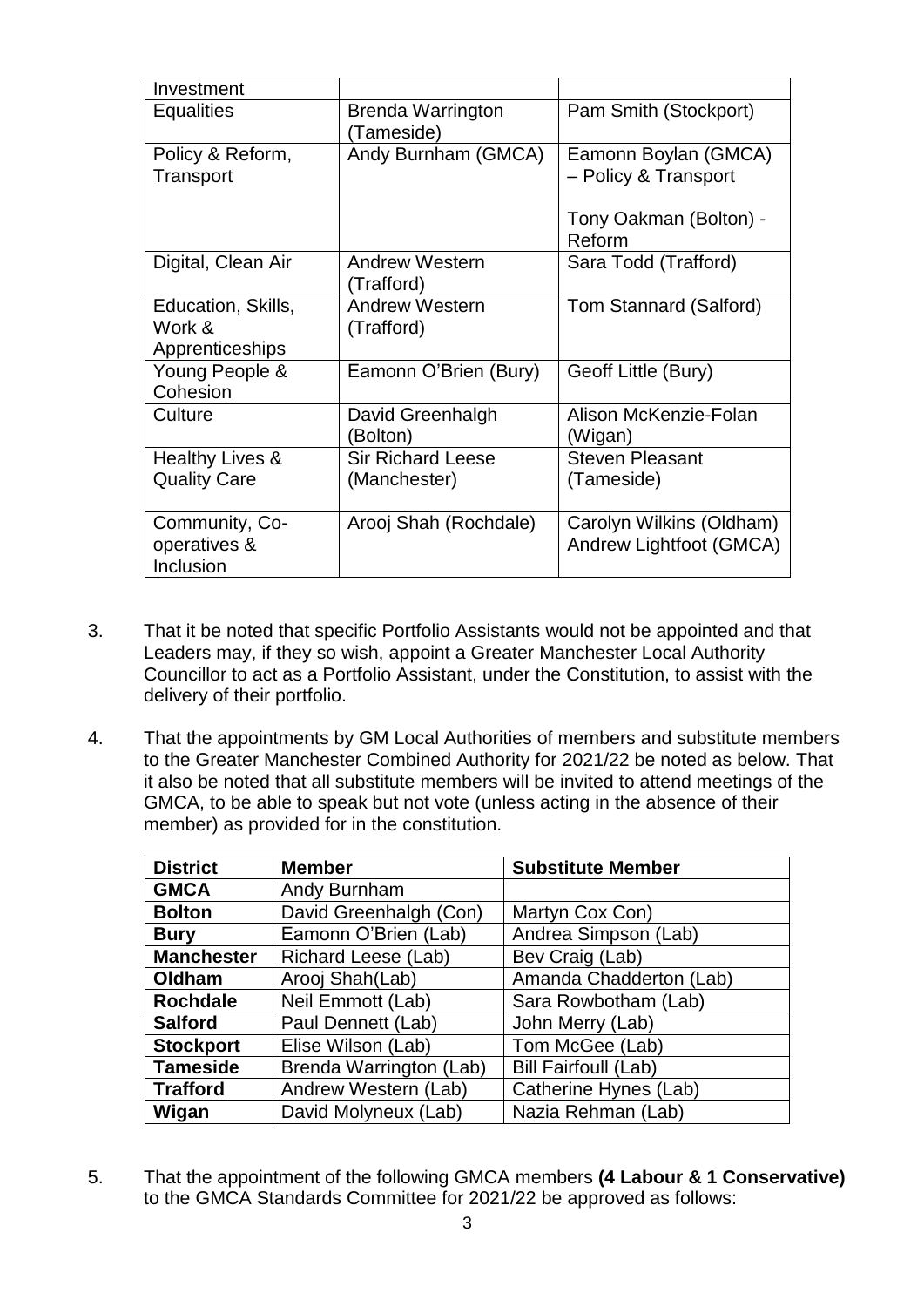| Investment                                      |                                          |                                                     |
|-------------------------------------------------|------------------------------------------|-----------------------------------------------------|
| Equalities                                      | Brenda Warrington<br>Tameside)           | Pam Smith (Stockport)                               |
| Policy & Reform,<br>Transport                   | Andy Burnham (GMCA)                      | Eamonn Boylan (GMCA)<br>- Policy & Transport        |
|                                                 |                                          | Tony Oakman (Bolton) -<br>Reform                    |
| Digital, Clean Air                              | <b>Andrew Western</b><br>(Trafford)      | Sara Todd (Trafford)                                |
| Education, Skills,<br>Work &<br>Apprenticeships | <b>Andrew Western</b><br>(Trafford)      | Tom Stannard (Salford)                              |
| Young People &<br>Cohesion                      | Eamonn O'Brien (Bury)                    | Geoff Little (Bury)                                 |
| Culture                                         | David Greenhalgh<br>(Bolton)             | Alison McKenzie-Folan<br>(Wigan)                    |
| Healthy Lives &<br><b>Quality Care</b>          | <b>Sir Richard Leese</b><br>(Manchester) | <b>Steven Pleasant</b><br>(Tameside)                |
| Community, Co-<br>operatives &<br>Inclusion     | Arooj Shah (Rochdale)                    | Carolyn Wilkins (Oldham)<br>Andrew Lightfoot (GMCA) |

- 3. That it be noted that specific Portfolio Assistants would not be appointed and that Leaders may, if they so wish, appoint a Greater Manchester Local Authority Councillor to act as a Portfolio Assistant, under the Constitution, to assist with the delivery of their portfolio.
- 4. That the appointments by GM Local Authorities of members and substitute members to the Greater Manchester Combined Authority for 2021/22 be noted as below. That it also be noted that all substitute members will be invited to attend meetings of the GMCA, to be able to speak but not vote (unless acting in the absence of their member) as provided for in the constitution.

| <b>District</b>   | <b>Member</b>           | <b>Substitute Member</b>    |
|-------------------|-------------------------|-----------------------------|
| <b>GMCA</b>       | Andy Burnham            |                             |
| <b>Bolton</b>     | David Greenhalgh (Con)  | Martyn Cox Con)             |
| <b>Bury</b>       | Eamonn O'Brien (Lab)    | Andrea Simpson (Lab)        |
| <b>Manchester</b> | Richard Leese (Lab)     | Bev Craig (Lab)             |
| Oldham            | Arooj Shah(Lab)         | Amanda Chadderton (Lab)     |
| <b>Rochdale</b>   | Neil Emmott (Lab)       | Sara Rowbotham (Lab)        |
| <b>Salford</b>    | Paul Dennett (Lab)      | John Merry (Lab)            |
| <b>Stockport</b>  | Elise Wilson (Lab)      | Tom McGee (Lab)             |
| <b>Tameside</b>   | Brenda Warrington (Lab) | <b>Bill Fairfoull (Lab)</b> |
| <b>Trafford</b>   | Andrew Western (Lab)    | Catherine Hynes (Lab)       |
| Wigan             | David Molyneux (Lab)    | Nazia Rehman (Lab)          |

5. That the appointment of the following GMCA members **(4 Labour & 1 Conservative)**  to the GMCA Standards Committee for 2021/22 be approved as follows: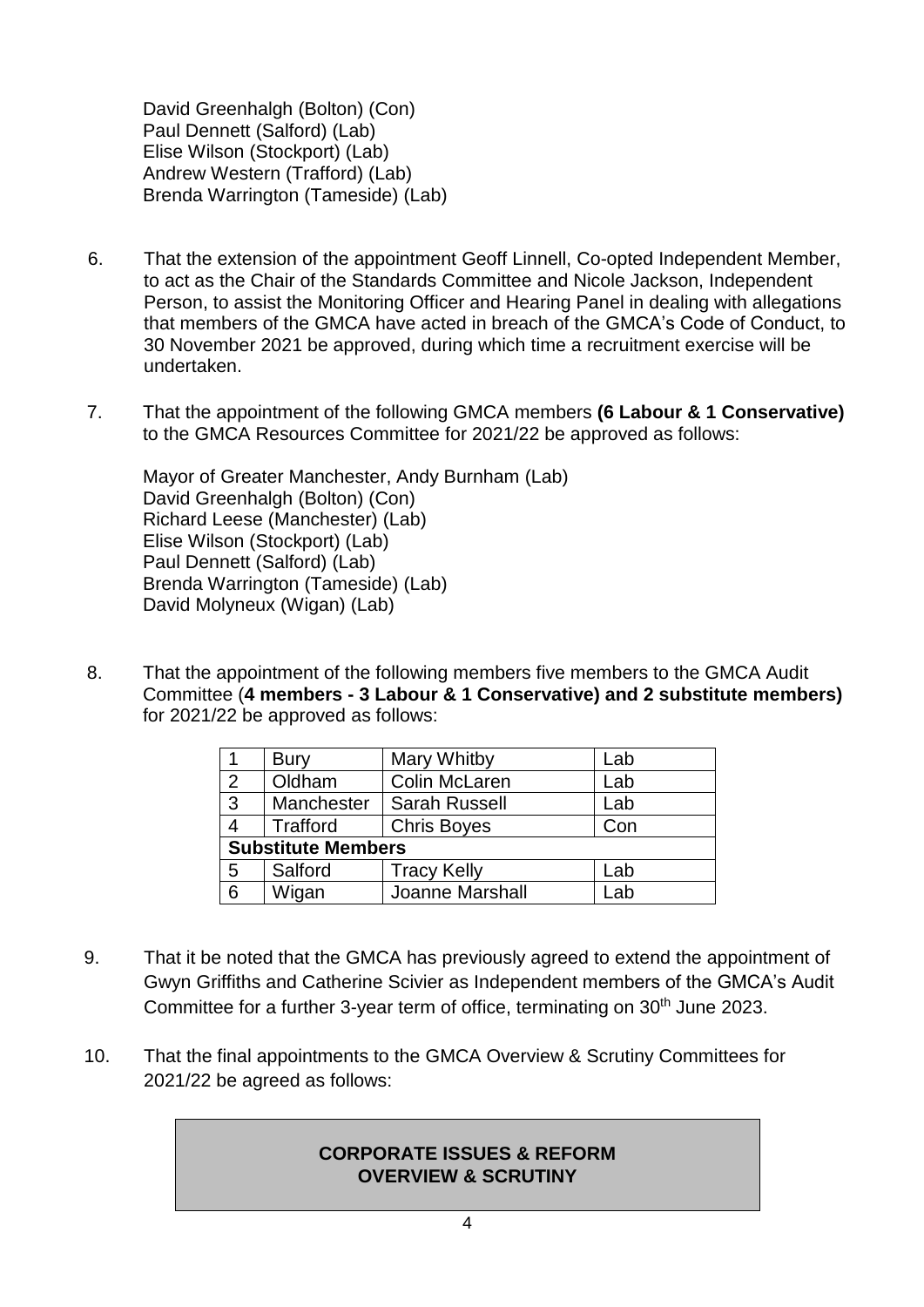David Greenhalgh (Bolton) (Con) Paul Dennett (Salford) (Lab) Elise Wilson (Stockport) (Lab) Andrew Western (Trafford) (Lab) Brenda Warrington (Tameside) (Lab)

- 6. That the extension of the appointment Geoff Linnell, Co-opted Independent Member, to act as the Chair of the Standards Committee and Nicole Jackson, Independent Person, to assist the Monitoring Officer and Hearing Panel in dealing with allegations that members of the GMCA have acted in breach of the GMCA's Code of Conduct, to 30 November 2021 be approved, during which time a recruitment exercise will be undertaken.
- 7. That the appointment of the following GMCA members **(6 Labour & 1 Conservative)**  to the GMCA Resources Committee for 2021/22 be approved as follows:

Mayor of Greater Manchester, Andy Burnham (Lab) David Greenhalgh (Bolton) (Con) Richard Leese (Manchester) (Lab) Elise Wilson (Stockport) (Lab) Paul Dennett (Salford) (Lab) Brenda Warrington (Tameside) (Lab) David Molyneux (Wigan) (Lab)

8. That the appointment of the following members five members to the GMCA Audit Committee (**4 members - 3 Labour & 1 Conservative) and 2 substitute members)** for 2021/22 be approved as follows:

|                           | <b>Bury</b> | <b>Mary Whitby</b>   | Lab |
|---------------------------|-------------|----------------------|-----|
| 2                         | Oldham      | Colin McLaren        | Lab |
| $\overline{3}$            | Manchester  | <b>Sarah Russell</b> | Lab |
|                           | Trafford    | <b>Chris Boyes</b>   | Con |
| <b>Substitute Members</b> |             |                      |     |
| 5                         | Salford     | <b>Tracy Kelly</b>   | Lab |
| 6                         | Wigan       | Joanne Marshall      | .ab |

- 9. That it be noted that the GMCA has previously agreed to extend the appointment of Gwyn Griffiths and Catherine Scivier as Independent members of the GMCA's Audit Committee for a further 3-year term of office, terminating on 30<sup>th</sup> June 2023.
- 10. That the final appointments to the GMCA Overview & Scrutiny Committees for 2021/22 be agreed as follows:

### **CORPORATE ISSUES & REFORM OVERVIEW & SCRUTINY**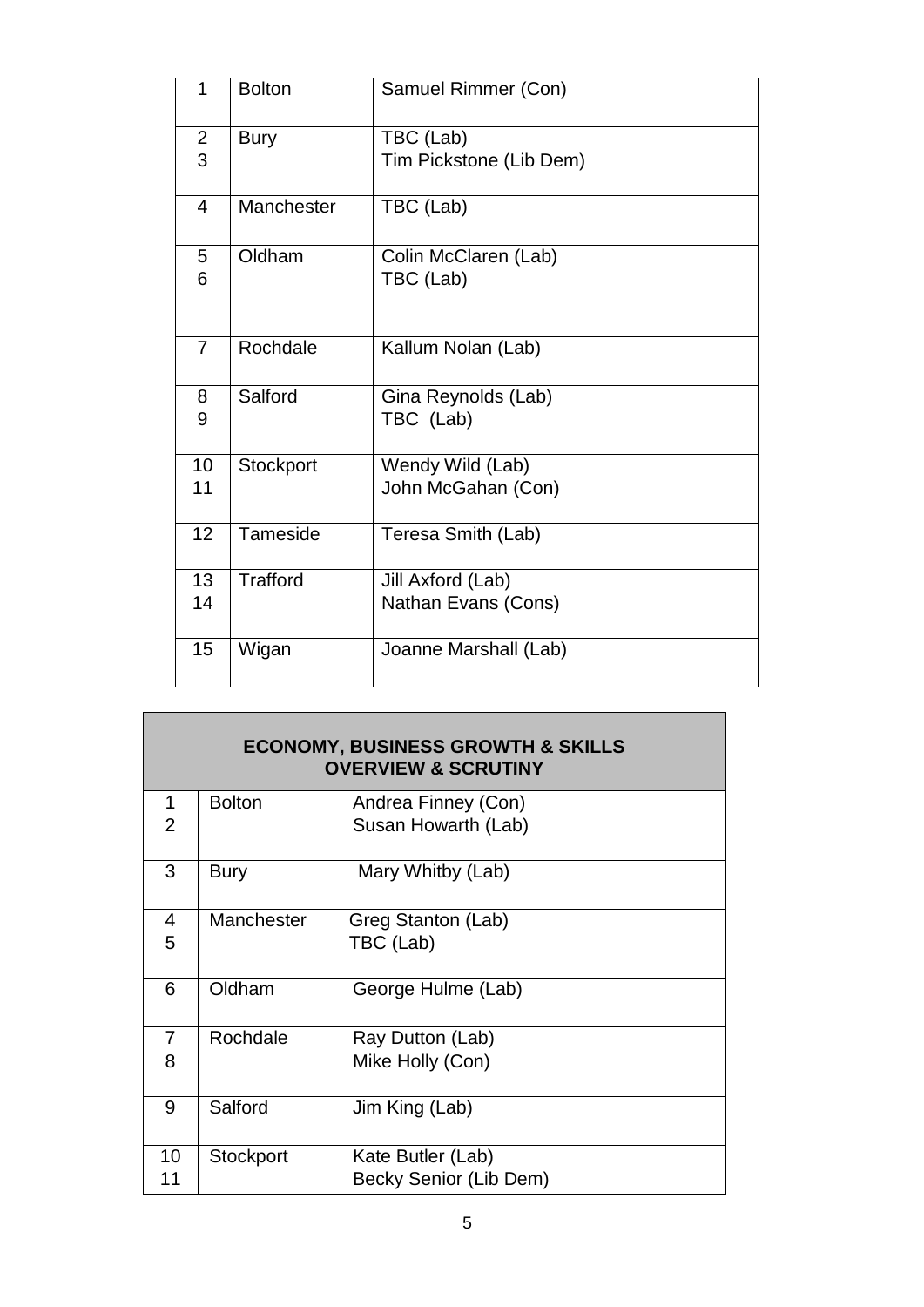| $\mathbf{1}$   | <b>Bolton</b>   | Samuel Rimmer (Con)     |
|----------------|-----------------|-------------------------|
| $\overline{2}$ | <b>Bury</b>     | TBC (Lab)               |
| 3              |                 | Tim Pickstone (Lib Dem) |
| 4              | Manchester      | TBC (Lab)               |
| 5              | Oldham          | Colin McClaren (Lab)    |
| 6              |                 | TBC (Lab)               |
| $\overline{7}$ | Rochdale        | Kallum Nolan (Lab)      |
| 8              | Salford         | Gina Reynolds (Lab)     |
| 9              |                 | TBC (Lab)               |
| 10             | Stockport       | Wendy Wild (Lab)        |
| 11             |                 | John McGahan (Con)      |
| 12             | Tameside        | Teresa Smith (Lab)      |
| 13             | <b>Trafford</b> | Jill Axford (Lab)       |
| 14             |                 | Nathan Evans (Cons)     |
| 15             | Wigan           | Joanne Marshall (Lab)   |

| <b>ECONOMY, BUSINESS GROWTH &amp; SKILLS</b><br><b>OVERVIEW &amp; SCRUTINY</b> |               |                        |  |
|--------------------------------------------------------------------------------|---------------|------------------------|--|
| 1                                                                              | <b>Bolton</b> | Andrea Finney (Con)    |  |
| $\overline{2}$                                                                 |               | Susan Howarth (Lab)    |  |
| 3                                                                              | <b>Bury</b>   | Mary Whitby (Lab)      |  |
| 4                                                                              | Manchester    | Greg Stanton (Lab)     |  |
| 5                                                                              |               | TBC (Lab)              |  |
| 6                                                                              | Oldham        | George Hulme (Lab)     |  |
| $\overline{7}$                                                                 | Rochdale      | Ray Dutton (Lab)       |  |
| 8                                                                              |               | Mike Holly (Con)       |  |
| 9                                                                              | Salford       | Jim King (Lab)         |  |
| 10                                                                             | Stockport     | Kate Butler (Lab)      |  |
| 11                                                                             |               | Becky Senior (Lib Dem) |  |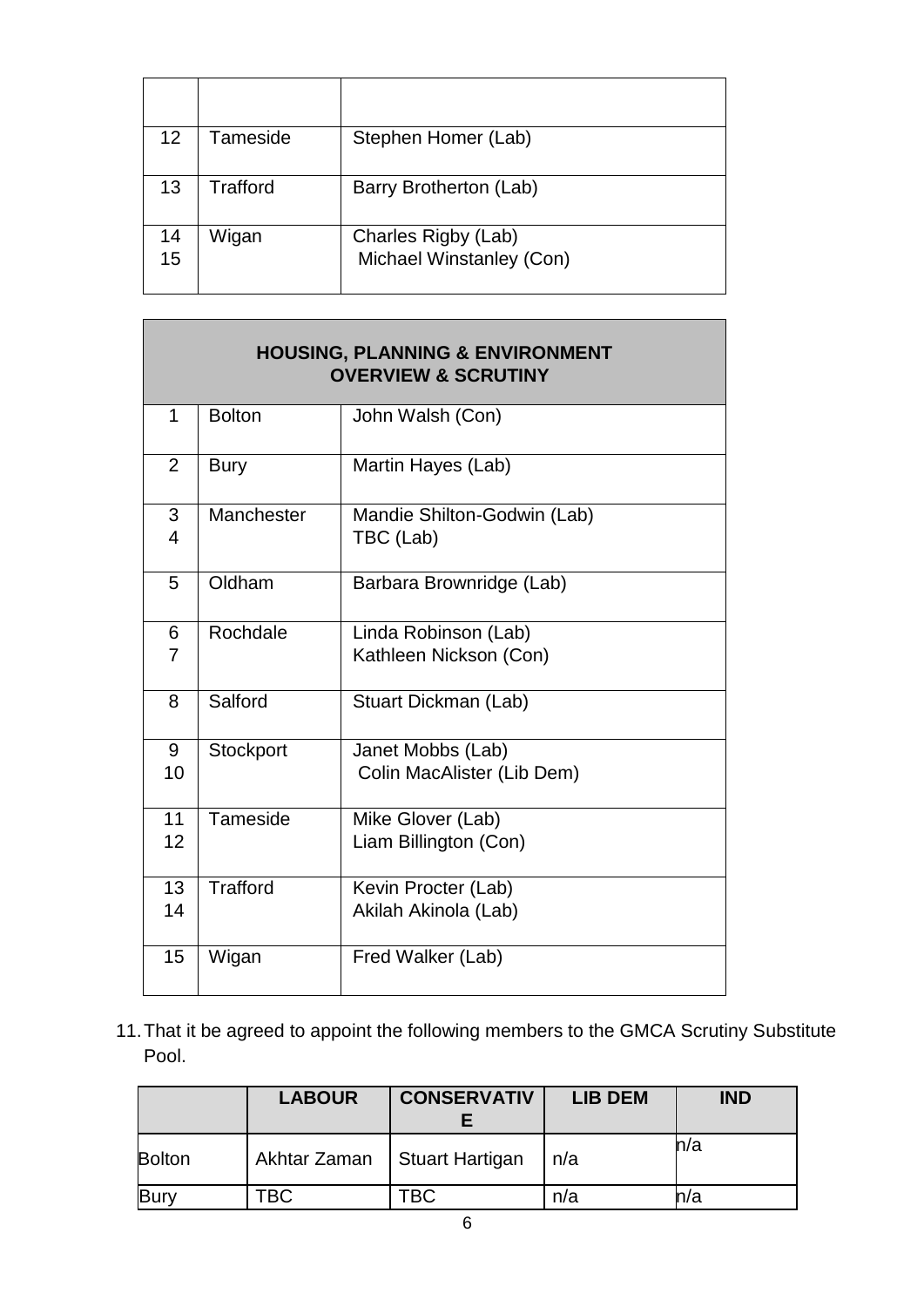| 12 | Tameside        | Stephen Homer (Lab)      |
|----|-----------------|--------------------------|
| 13 | <b>Trafford</b> | Barry Brotherton (Lab)   |
| 14 | Wigan           | Charles Rigby (Lab)      |
| 15 |                 | Michael Winstanley (Con) |

| <b>HOUSING, PLANNING &amp; ENVIRONMENT</b><br><b>OVERVIEW &amp; SCRUTINY</b> |                 |                                                 |
|------------------------------------------------------------------------------|-----------------|-------------------------------------------------|
| 1                                                                            | <b>Bolton</b>   | John Walsh (Con)                                |
| $\overline{2}$                                                               | <b>Bury</b>     | Martin Hayes (Lab)                              |
| 3<br>$\overline{4}$                                                          | Manchester      | Mandie Shilton-Godwin (Lab)<br>TBC (Lab)        |
| 5                                                                            | Oldham          | Barbara Brownridge (Lab)                        |
| 6<br>7                                                                       | Rochdale        | Linda Robinson (Lab)<br>Kathleen Nickson (Con)  |
| 8                                                                            | Salford         | Stuart Dickman (Lab)                            |
| 9<br>10                                                                      | Stockport       | Janet Mobbs (Lab)<br>Colin MacAlister (Lib Dem) |
| 11<br>12                                                                     | Tameside        | Mike Glover (Lab)<br>Liam Billington (Con)      |
| 13<br>14                                                                     | <b>Trafford</b> | Kevin Procter (Lab)<br>Akilah Akinola (Lab)     |
| 15                                                                           | Wigan           | Fred Walker (Lab)                               |

11.That it be agreed to appoint the following members to the GMCA Scrutiny Substitute Pool.

|               | <b>LABOUR</b> | <b>CONSERVATIV</b>     | <b>LIB DEM</b> | <b>IND</b> |
|---------------|---------------|------------------------|----------------|------------|
| <b>Bolton</b> | Akhtar Zaman  | <b>Stuart Hartigan</b> | n/a            | n/a        |
| Bury          | TBC           | твс                    | n/a            | n/a        |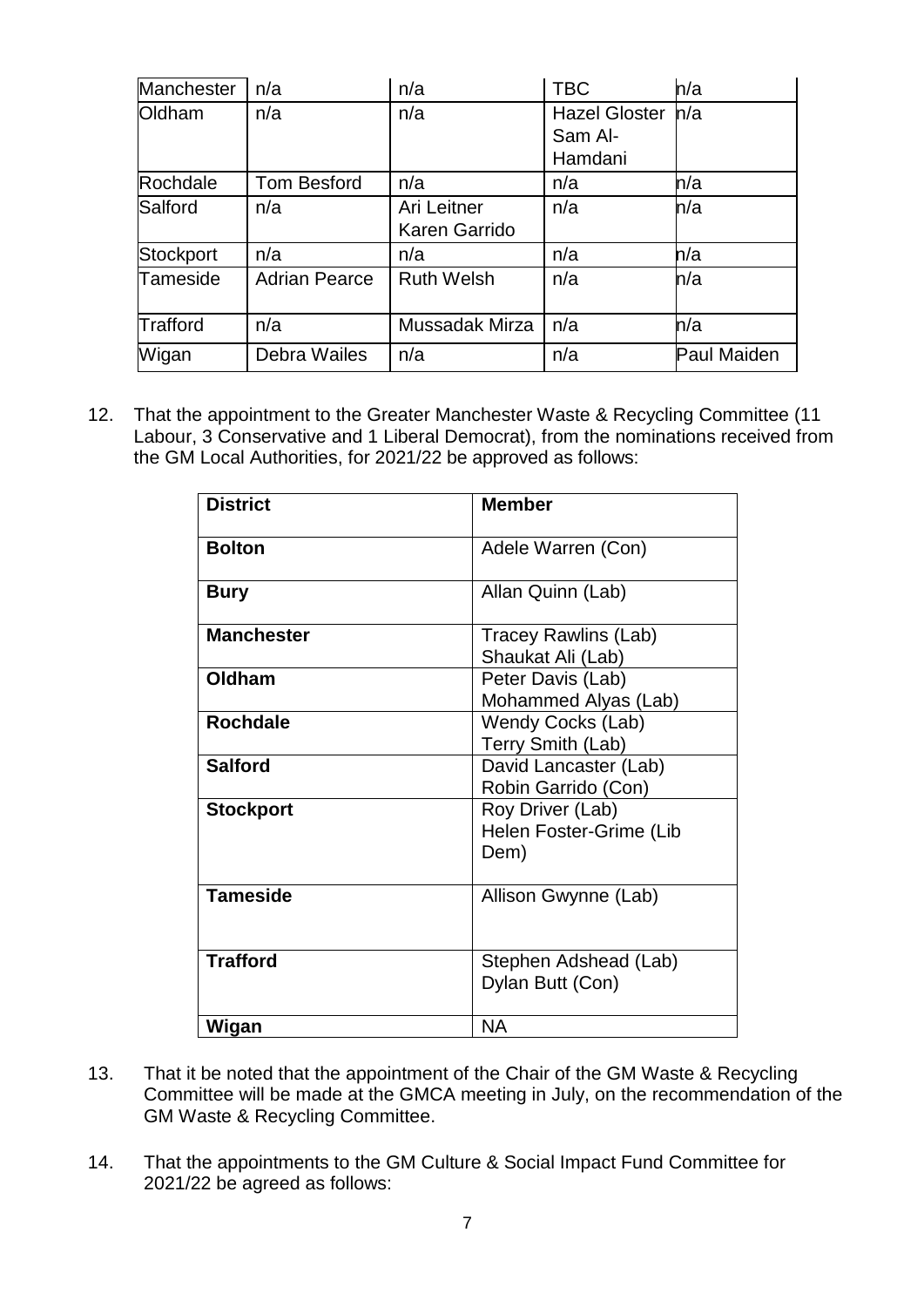| Manchester       | n/a                  | n/a                          | <b>TBC</b>                                 | h/a                |
|------------------|----------------------|------------------------------|--------------------------------------------|--------------------|
| Oldham           | n/a                  | n/a                          | <b>Hazel Gloster</b><br>Sam Al-<br>Hamdani | h/a                |
| Rochdale         | <b>Tom Besford</b>   | n/a                          | n/a                                        | n/a                |
| Salford          | n/a                  | Ari Leitner<br>Karen Garrido | n/a                                        | n/a                |
| <b>Stockport</b> | n/a                  | n/a                          | n/a                                        | n/a                |
| Tameside         | <b>Adrian Pearce</b> | <b>Ruth Welsh</b>            | n/a                                        | h/a                |
| Trafford         | n/a                  | Mussadak Mirza               | n/a                                        | h/a                |
| Wigan            | Debra Wailes         | n/a                          | n/a                                        | <b>Paul Maiden</b> |

12. That the appointment to the Greater Manchester Waste & Recycling Committee (11 Labour, 3 Conservative and 1 Liberal Democrat), from the nominations received from the GM Local Authorities, for 2021/22 be approved as follows:

| <b>District</b>   | <b>Member</b>                                       |
|-------------------|-----------------------------------------------------|
| <b>Bolton</b>     | Adele Warren (Con)                                  |
| <b>Bury</b>       | Allan Quinn (Lab)                                   |
| <b>Manchester</b> | Tracey Rawlins (Lab)<br>Shaukat Ali (Lab)           |
| Oldham            | Peter Davis (Lab)<br>Mohammed Alyas (Lab)           |
| <b>Rochdale</b>   | Wendy Cocks (Lab)<br>Terry Smith (Lab)              |
| <b>Salford</b>    | David Lancaster (Lab)<br>Robin Garrido (Con)        |
| <b>Stockport</b>  | Roy Driver (Lab)<br>Helen Foster-Grime (Lib<br>Dem) |
| <b>Tameside</b>   | Allison Gwynne (Lab)                                |
| <b>Trafford</b>   | Stephen Adshead (Lab)<br>Dylan Butt (Con)           |
| Wigan             | <b>NA</b>                                           |

- 13. That it be noted that the appointment of the Chair of the GM Waste & Recycling Committee will be made at the GMCA meeting in July, on the recommendation of the GM Waste & Recycling Committee.
- 14. That the appointments to the GM Culture & Social Impact Fund Committee for 2021/22 be agreed as follows: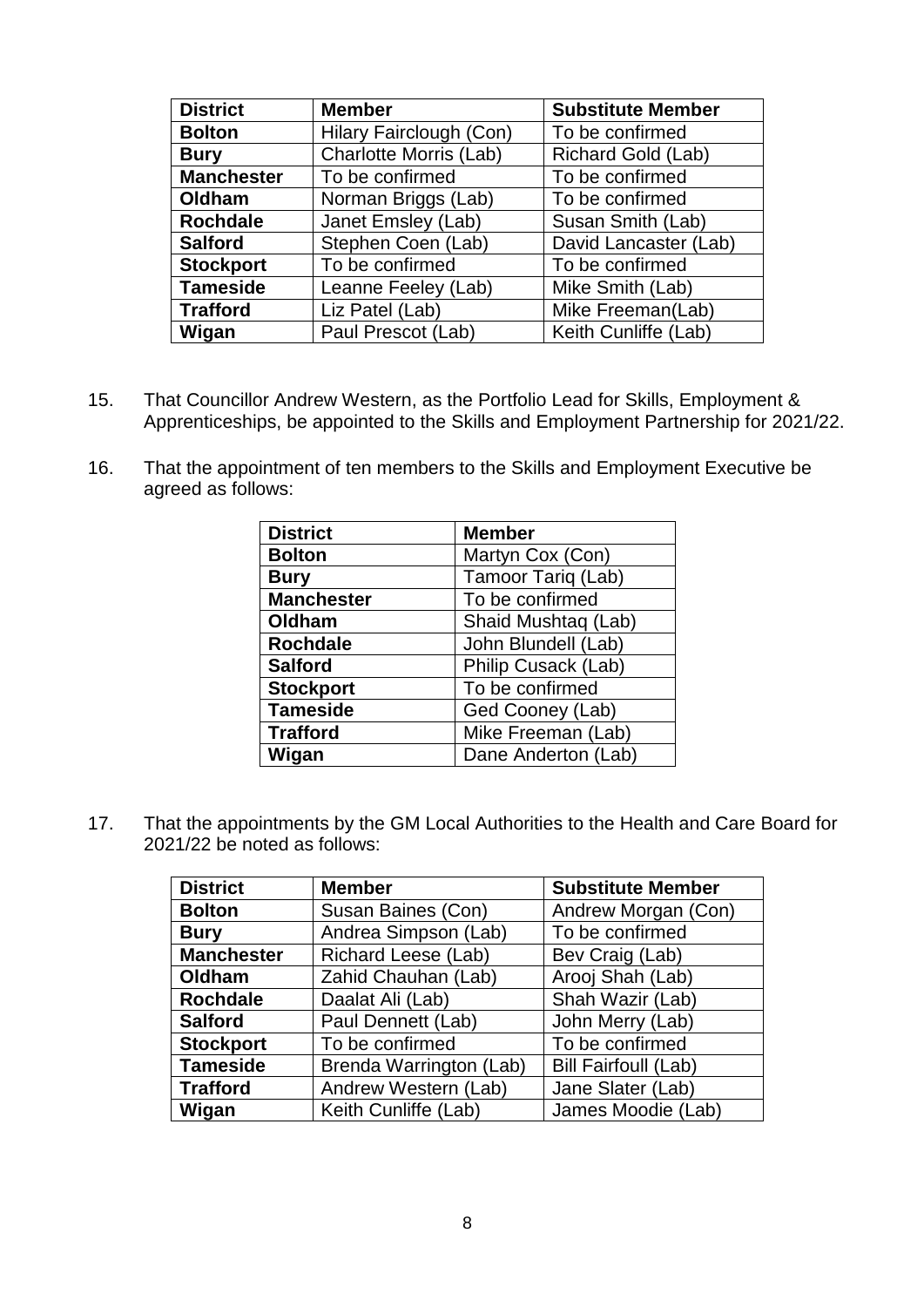| <b>District</b>   | <b>Member</b><br><b>Substitute Member</b> |                       |  |
|-------------------|-------------------------------------------|-----------------------|--|
| <b>Bolton</b>     | Hilary Fairclough (Con)                   | To be confirmed       |  |
| <b>Bury</b>       | Charlotte Morris (Lab)                    | Richard Gold (Lab)    |  |
| <b>Manchester</b> | To be confirmed                           | To be confirmed       |  |
| Oldham            | Norman Briggs (Lab)                       | To be confirmed       |  |
| <b>Rochdale</b>   | Janet Emsley (Lab)                        | Susan Smith (Lab)     |  |
| <b>Salford</b>    | Stephen Coen (Lab)                        | David Lancaster (Lab) |  |
| <b>Stockport</b>  | To be confirmed                           | To be confirmed       |  |
| <b>Tameside</b>   | Leanne Feeley (Lab)                       | Mike Smith (Lab)      |  |
| <b>Trafford</b>   | Liz Patel (Lab)                           | Mike Freeman(Lab)     |  |
| Wigan             | Paul Prescot (Lab)                        | Keith Cunliffe (Lab)  |  |

- 15. That Councillor Andrew Western, as the Portfolio Lead for Skills, Employment & Apprenticeships, be appointed to the Skills and Employment Partnership for 2021/22.
- 16. That the appointment of ten members to the Skills and Employment Executive be agreed as follows:

| <b>District</b>   | <b>Member</b>       |  |
|-------------------|---------------------|--|
| <b>Bolton</b>     | Martyn Cox (Con)    |  |
| <b>Bury</b>       | Tamoor Tariq (Lab)  |  |
| <b>Manchester</b> | To be confirmed     |  |
| Oldham            | Shaid Mushtaq (Lab) |  |
| <b>Rochdale</b>   | John Blundell (Lab) |  |
| <b>Salford</b>    | Philip Cusack (Lab) |  |
| <b>Stockport</b>  | To be confirmed     |  |
| <b>Tameside</b>   | Ged Cooney (Lab)    |  |
| <b>Trafford</b>   | Mike Freeman (Lab)  |  |
| Wigan             | Dane Anderton (Lab) |  |

17. That the appointments by the GM Local Authorities to the Health and Care Board for 2021/22 be noted as follows:

| <b>District</b>   | <b>Member</b>                                 | <b>Substitute Member</b>    |  |
|-------------------|-----------------------------------------------|-----------------------------|--|
| <b>Bolton</b>     | Susan Baines (Con)                            | Andrew Morgan (Con)         |  |
| <b>Bury</b>       | To be confirmed<br>Andrea Simpson (Lab)       |                             |  |
| <b>Manchester</b> | <b>Richard Leese (Lab)</b><br>Bev Craig (Lab) |                             |  |
| Oldham            | Zahid Chauhan (Lab)                           | Arooj Shah (Lab)            |  |
| <b>Rochdale</b>   | Daalat Ali (Lab)                              | Shah Wazir (Lab)            |  |
| <b>Salford</b>    | Paul Dennett (Lab)                            | John Merry (Lab)            |  |
| <b>Stockport</b>  | To be confirmed                               | To be confirmed             |  |
| <b>Tameside</b>   | Brenda Warrington (Lab)                       | <b>Bill Fairfoull (Lab)</b> |  |
| <b>Trafford</b>   | Andrew Western (Lab)                          | Jane Slater (Lab)           |  |
| Wigan             | Keith Cunliffe (Lab)                          | James Moodie (Lab)          |  |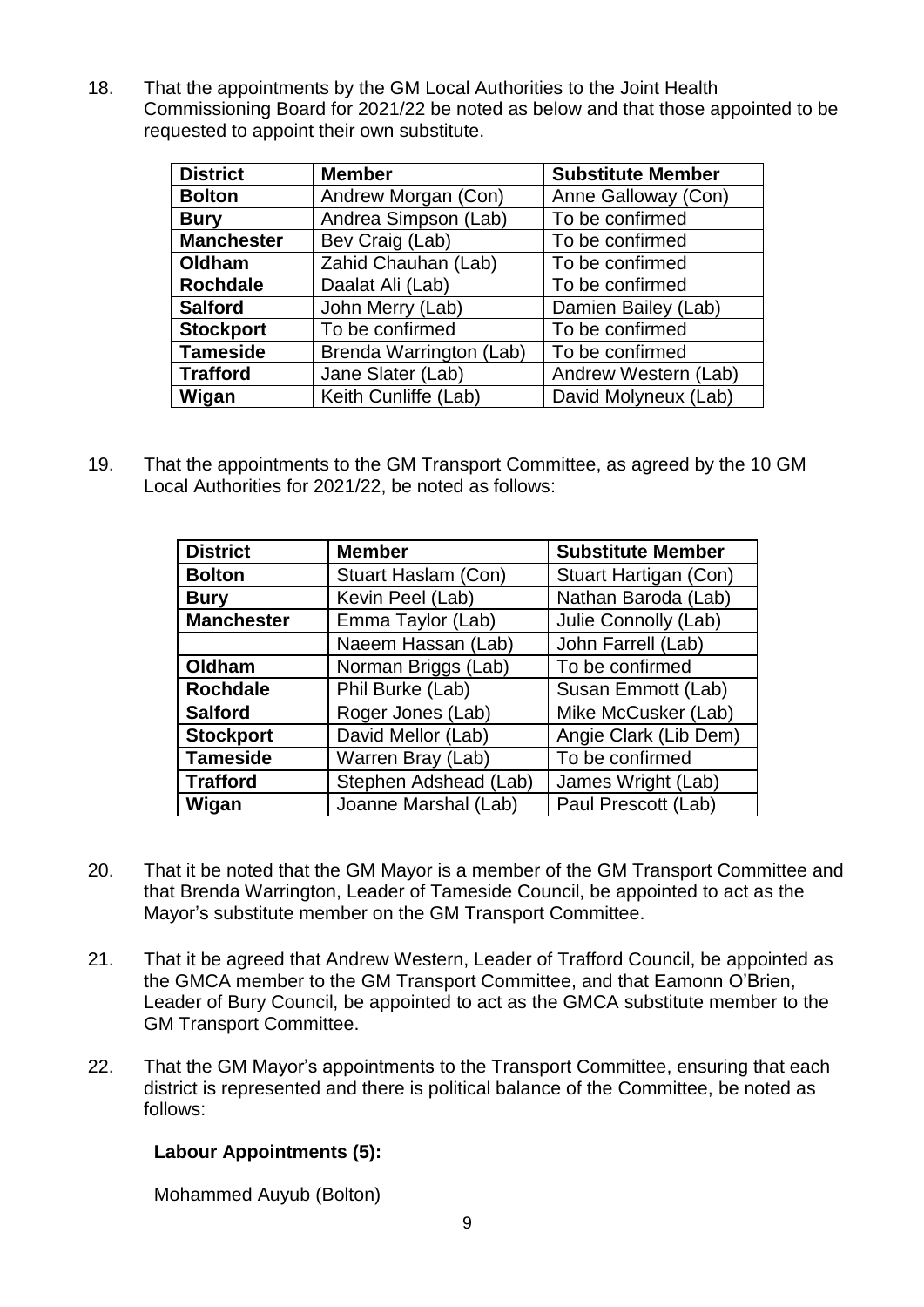18. That the appointments by the GM Local Authorities to the Joint Health Commissioning Board for 2021/22 be noted as below and that those appointed to be requested to appoint their own substitute.

| <b>District</b>   | <b>Member</b><br><b>Substitute Member</b> |                      |  |
|-------------------|-------------------------------------------|----------------------|--|
| <b>Bolton</b>     | Andrew Morgan (Con)                       | Anne Galloway (Con)  |  |
| <b>Bury</b>       | Andrea Simpson (Lab)                      | To be confirmed      |  |
| <b>Manchester</b> | Bev Craig (Lab)                           | To be confirmed      |  |
| Oldham            | Zahid Chauhan (Lab)                       | To be confirmed      |  |
| <b>Rochdale</b>   | Daalat Ali (Lab)                          | To be confirmed      |  |
| <b>Salford</b>    | John Merry (Lab)                          | Damien Bailey (Lab)  |  |
| <b>Stockport</b>  | To be confirmed                           | To be confirmed      |  |
| <b>Tameside</b>   | Brenda Warrington (Lab)                   | To be confirmed      |  |
| <b>Trafford</b>   | Jane Slater (Lab)                         | Andrew Western (Lab) |  |
| Wigan             | Keith Cunliffe (Lab)                      | David Molyneux (Lab) |  |

19. That the appointments to the GM Transport Committee, as agreed by the 10 GM Local Authorities for 2021/22, be noted as follows:

| <b>District</b>   | <b>Member</b>              | <b>Substitute Member</b> |  |
|-------------------|----------------------------|--------------------------|--|
| <b>Bolton</b>     | <b>Stuart Haslam (Con)</b> | Stuart Hartigan (Con)    |  |
| <b>Bury</b>       | Kevin Peel (Lab)           | Nathan Baroda (Lab)      |  |
| <b>Manchester</b> | Emma Taylor (Lab)          | Julie Connolly (Lab)     |  |
|                   | Naeem Hassan (Lab)         | John Farrell (Lab)       |  |
| Oldham            | Norman Briggs (Lab)        | To be confirmed          |  |
| <b>Rochdale</b>   | Phil Burke (Lab)           | Susan Emmott (Lab)       |  |
| <b>Salford</b>    | Roger Jones (Lab)          | Mike McCusker (Lab)      |  |
| <b>Stockport</b>  | David Mellor (Lab)         | Angie Clark (Lib Dem)    |  |
| <b>Tameside</b>   | Warren Bray (Lab)          | To be confirmed          |  |
| <b>Trafford</b>   | Stephen Adshead (Lab)      | James Wright (Lab)       |  |
| Wigan             | Joanne Marshal (Lab)       | Paul Prescott (Lab)      |  |

- 20. That it be noted that the GM Mayor is a member of the GM Transport Committee and that Brenda Warrington, Leader of Tameside Council, be appointed to act as the Mayor's substitute member on the GM Transport Committee.
- 21. That it be agreed that Andrew Western, Leader of Trafford Council, be appointed as the GMCA member to the GM Transport Committee, and that Eamonn O'Brien, Leader of Bury Council, be appointed to act as the GMCA substitute member to the GM Transport Committee.
- 22. That the GM Mayor's appointments to the Transport Committee, ensuring that each district is represented and there is political balance of the Committee, be noted as follows:

## **Labour Appointments (5):**

Mohammed Auyub (Bolton)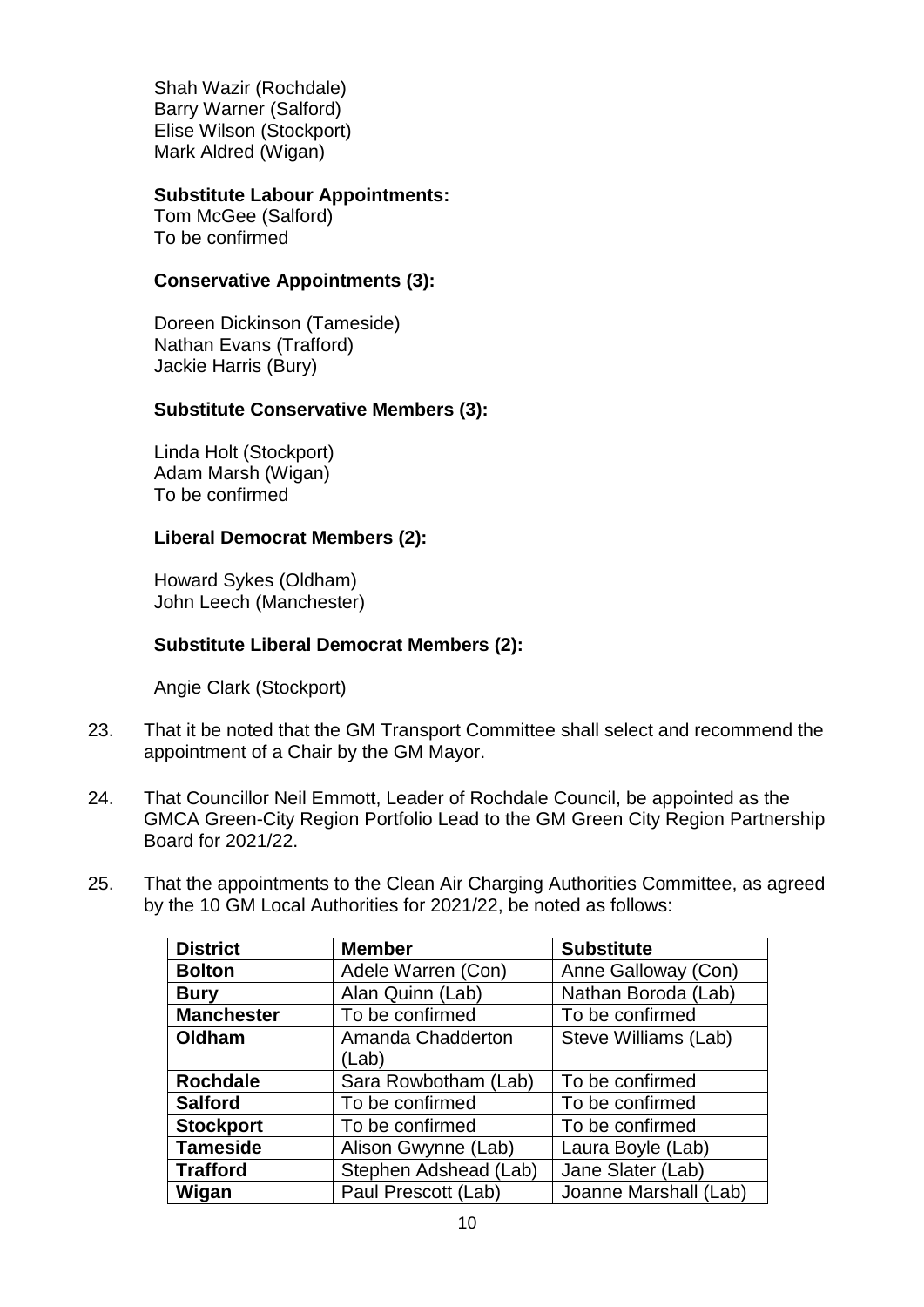Shah Wazir (Rochdale) Barry Warner (Salford) Elise Wilson (Stockport) Mark Aldred (Wigan)

### **Substitute Labour Appointments:**

Tom McGee (Salford) To be confirmed

#### **Conservative Appointments (3):**

Doreen Dickinson (Tameside) Nathan Evans (Trafford) Jackie Harris (Bury)

#### **Substitute Conservative Members (3):**

Linda Holt (Stockport) Adam Marsh (Wigan) To be confirmed

#### **Liberal Democrat Members (2):**

Howard Sykes (Oldham) John Leech (Manchester)

#### **Substitute Liberal Democrat Members (2):**

Angie Clark (Stockport)

- 23. That it be noted that the GM Transport Committee shall select and recommend the appointment of a Chair by the GM Mayor.
- 24. That Councillor Neil Emmott, Leader of Rochdale Council, be appointed as the GMCA Green-City Region Portfolio Lead to the GM Green City Region Partnership Board for 2021/22.
- 25. That the appointments to the Clean Air Charging Authorities Committee, as agreed by the 10 GM Local Authorities for 2021/22, be noted as follows:

| <b>District</b>   | <b>Member</b>                           | <b>Substitute</b>     |  |
|-------------------|-----------------------------------------|-----------------------|--|
| <b>Bolton</b>     | Adele Warren (Con)                      | Anne Galloway (Con)   |  |
| <b>Bury</b>       | Alan Quinn (Lab)                        | Nathan Boroda (Lab)   |  |
| <b>Manchester</b> | To be confirmed                         | To be confirmed       |  |
| Oldham            | Amanda Chadderton                       | Steve Williams (Lab)  |  |
|                   | (Lab)                                   |                       |  |
| <b>Rochdale</b>   | To be confirmed<br>Sara Rowbotham (Lab) |                       |  |
| <b>Salford</b>    | To be confirmed<br>To be confirmed      |                       |  |
| <b>Stockport</b>  | To be confirmed<br>To be confirmed      |                       |  |
| <b>Tameside</b>   | Alison Gwynne (Lab)                     | Laura Boyle (Lab)     |  |
| <b>Trafford</b>   | Stephen Adshead (Lab)                   | Jane Slater (Lab)     |  |
| Wigan             | Paul Prescott (Lab)                     | Joanne Marshall (Lab) |  |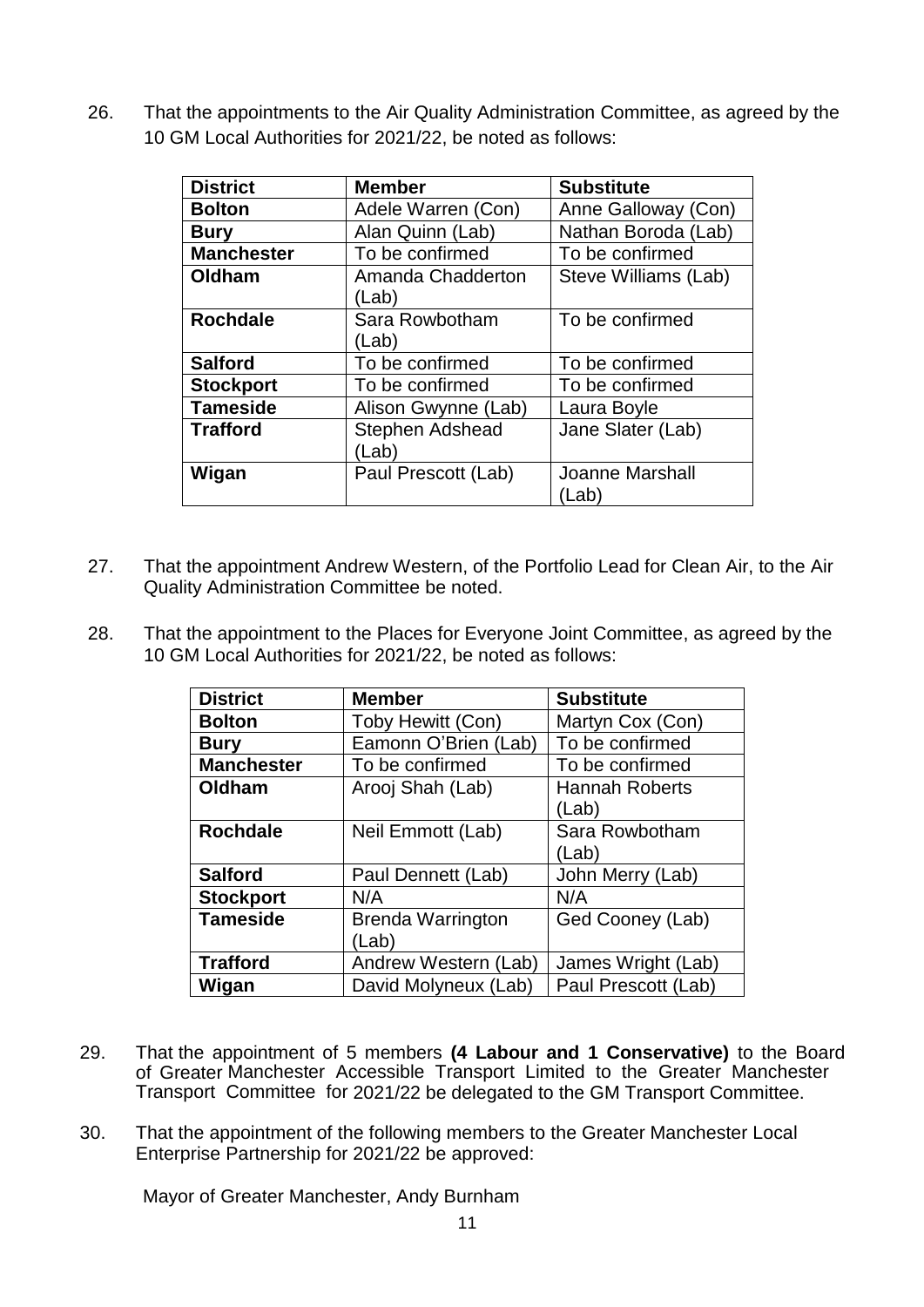26. That the appointments to the Air Quality Administration Committee, as agreed by the 10 GM Local Authorities for 2021/22, be noted as follows:

| <b>District</b>   | <b>Member</b>          | <b>Substitute</b>      |  |
|-------------------|------------------------|------------------------|--|
| <b>Bolton</b>     | Adele Warren (Con)     | Anne Galloway (Con)    |  |
| <b>Bury</b>       | Alan Quinn (Lab)       | Nathan Boroda (Lab)    |  |
| <b>Manchester</b> | To be confirmed        | To be confirmed        |  |
| Oldham            | Amanda Chadderton      | Steve Williams (Lab)   |  |
|                   | (Lab)                  |                        |  |
| <b>Rochdale</b>   | Sara Rowbotham         | To be confirmed        |  |
|                   | (Lab)                  |                        |  |
| <b>Salford</b>    | To be confirmed        | To be confirmed        |  |
| <b>Stockport</b>  | To be confirmed        | To be confirmed        |  |
| <b>Tameside</b>   | Alison Gwynne (Lab)    | Laura Boyle            |  |
| <b>Trafford</b>   | <b>Stephen Adshead</b> | Jane Slater (Lab)      |  |
|                   | (Lab)                  |                        |  |
| Wigan             | Paul Prescott (Lab)    | <b>Joanne Marshall</b> |  |
|                   |                        | (Lab)                  |  |

- 27. That the appointment Andrew Western, of the Portfolio Lead for Clean Air, to the Air Quality Administration Committee be noted.
- 28. That the appointment to the Places for Everyone Joint Committee, as agreed by the 10 GM Local Authorities for 2021/22, be noted as follows:

| <b>District</b>   | <b>Member</b>                     | <b>Substitute</b>              |  |
|-------------------|-----------------------------------|--------------------------------|--|
| <b>Bolton</b>     | Toby Hewitt (Con)                 | Martyn Cox (Con)               |  |
| <b>Bury</b>       | Eamonn O'Brien (Lab)              | To be confirmed                |  |
| <b>Manchester</b> | To be confirmed                   | To be confirmed                |  |
| Oldham            | Arooj Shah (Lab)                  | <b>Hannah Roberts</b><br>(Lab) |  |
| <b>Rochdale</b>   | Neil Emmott (Lab)                 | Sara Rowbotham<br>(Lab)        |  |
| <b>Salford</b>    | Paul Dennett (Lab)                | John Merry (Lab)               |  |
| <b>Stockport</b>  | N/A                               | N/A                            |  |
| <b>Tameside</b>   | <b>Brenda Warrington</b><br>(Lab) | Ged Cooney (Lab)               |  |
| <b>Trafford</b>   | Andrew Western (Lab)              | James Wright (Lab)             |  |
| Wigan             | David Molyneux (Lab)              | Paul Prescott (Lab)            |  |

- 29. That the appointment of 5 members **(4 Labour and 1 Conservative)** to the Board of Greater Manchester Accessible Transport Limited to the Greater Manchester Transport Committee for 2021/22 be delegated to the GM Transport Committee.
- 30. That the appointment of the following members to the Greater Manchester Local Enterprise Partnership for 2021/22 be approved:

Mayor of Greater Manchester, Andy Burnham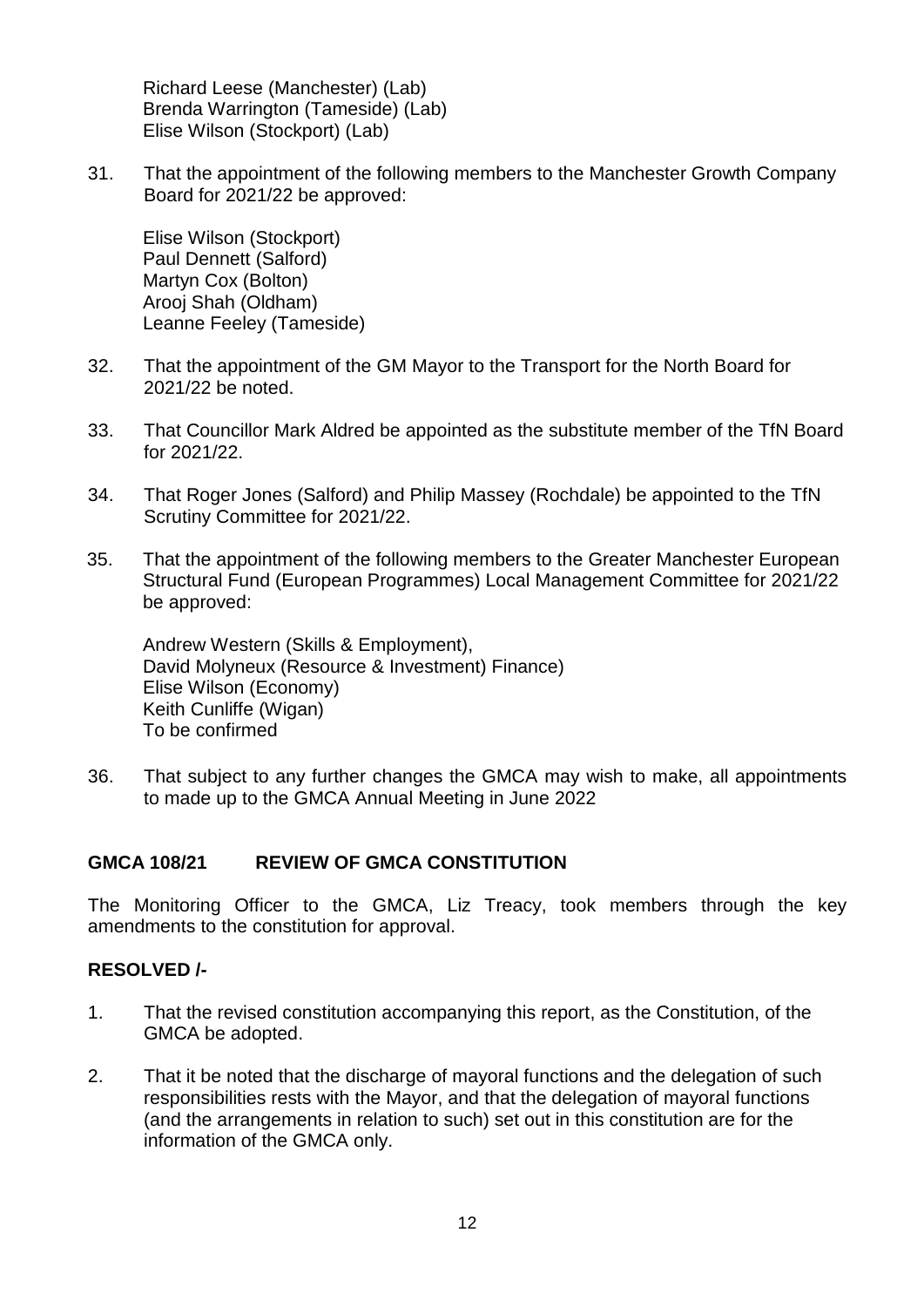Richard Leese (Manchester) (Lab) Brenda Warrington (Tameside) (Lab) Elise Wilson (Stockport) (Lab)

31. That the appointment of the following members to the Manchester Growth Company Board for 2021/22 be approved:

Elise Wilson (Stockport) Paul Dennett (Salford) Martyn Cox (Bolton) Arooj Shah (Oldham) Leanne Feeley (Tameside)

- 32. That the appointment of the GM Mayor to the Transport for the North Board for 2021/22 be noted.
- 33. That Councillor Mark Aldred be appointed as the substitute member of the TfN Board for 2021/22.
- 34. That Roger Jones (Salford) and Philip Massey (Rochdale) be appointed to the TfN Scrutiny Committee for 2021/22.
- 35. That the appointment of the following members to the Greater Manchester European Structural Fund (European Programmes) Local Management Committee for 2021/22 be approved:

Andrew Western (Skills & Employment), David Molyneux (Resource & Investment) Finance) Elise Wilson (Economy) Keith Cunliffe (Wigan) To be confirmed

36. That subject to any further changes the GMCA may wish to make, all appointments to made up to the GMCA Annual Meeting in June 2022

### **GMCA 108/21 REVIEW OF GMCA CONSTITUTION**

The Monitoring Officer to the GMCA, Liz Treacy, took members through the key amendments to the constitution for approval.

- 1. That the revised constitution accompanying this report, as the Constitution, of the GMCA be adopted.
- 2. That it be noted that the discharge of mayoral functions and the delegation of such responsibilities rests with the Mayor, and that the delegation of mayoral functions (and the arrangements in relation to such) set out in this constitution are for the information of the GMCA only.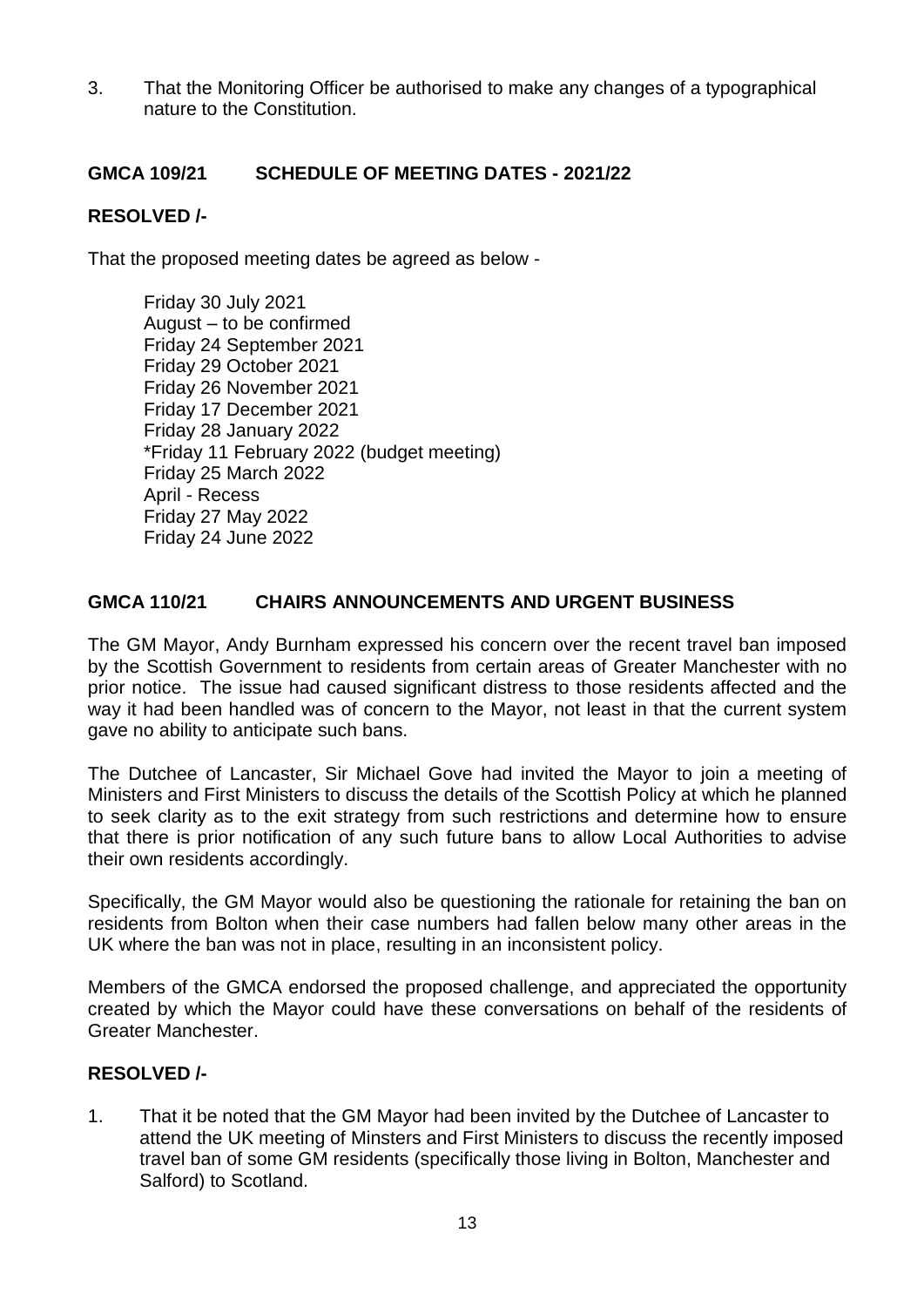3. That the Monitoring Officer be authorised to make any changes of a typographical nature to the Constitution.

### **GMCA 109/21 SCHEDULE OF MEETING DATES - 2021/22**

### **RESOLVED /-**

That the proposed meeting dates be agreed as below -

Friday 30 July 2021 August – to be confirmed Friday 24 September 2021 Friday 29 October 2021 Friday 26 November 2021 Friday 17 December 2021 Friday 28 January 2022 \*Friday 11 February 2022 (budget meeting) Friday 25 March 2022 April - Recess Friday 27 May 2022 Friday 24 June 2022

### **GMCA 110/21 CHAIRS ANNOUNCEMENTS AND URGENT BUSINESS**

The GM Mayor, Andy Burnham expressed his concern over the recent travel ban imposed by the Scottish Government to residents from certain areas of Greater Manchester with no prior notice. The issue had caused significant distress to those residents affected and the way it had been handled was of concern to the Mayor, not least in that the current system gave no ability to anticipate such bans.

The Dutchee of Lancaster, Sir Michael Gove had invited the Mayor to join a meeting of Ministers and First Ministers to discuss the details of the Scottish Policy at which he planned to seek clarity as to the exit strategy from such restrictions and determine how to ensure that there is prior notification of any such future bans to allow Local Authorities to advise their own residents accordingly.

Specifically, the GM Mayor would also be questioning the rationale for retaining the ban on residents from Bolton when their case numbers had fallen below many other areas in the UK where the ban was not in place, resulting in an inconsistent policy.

Members of the GMCA endorsed the proposed challenge, and appreciated the opportunity created by which the Mayor could have these conversations on behalf of the residents of Greater Manchester.

### **RESOLVED /-**

1. That it be noted that the GM Mayor had been invited by the Dutchee of Lancaster to attend the UK meeting of Minsters and First Ministers to discuss the recently imposed travel ban of some GM residents (specifically those living in Bolton, Manchester and Salford) to Scotland.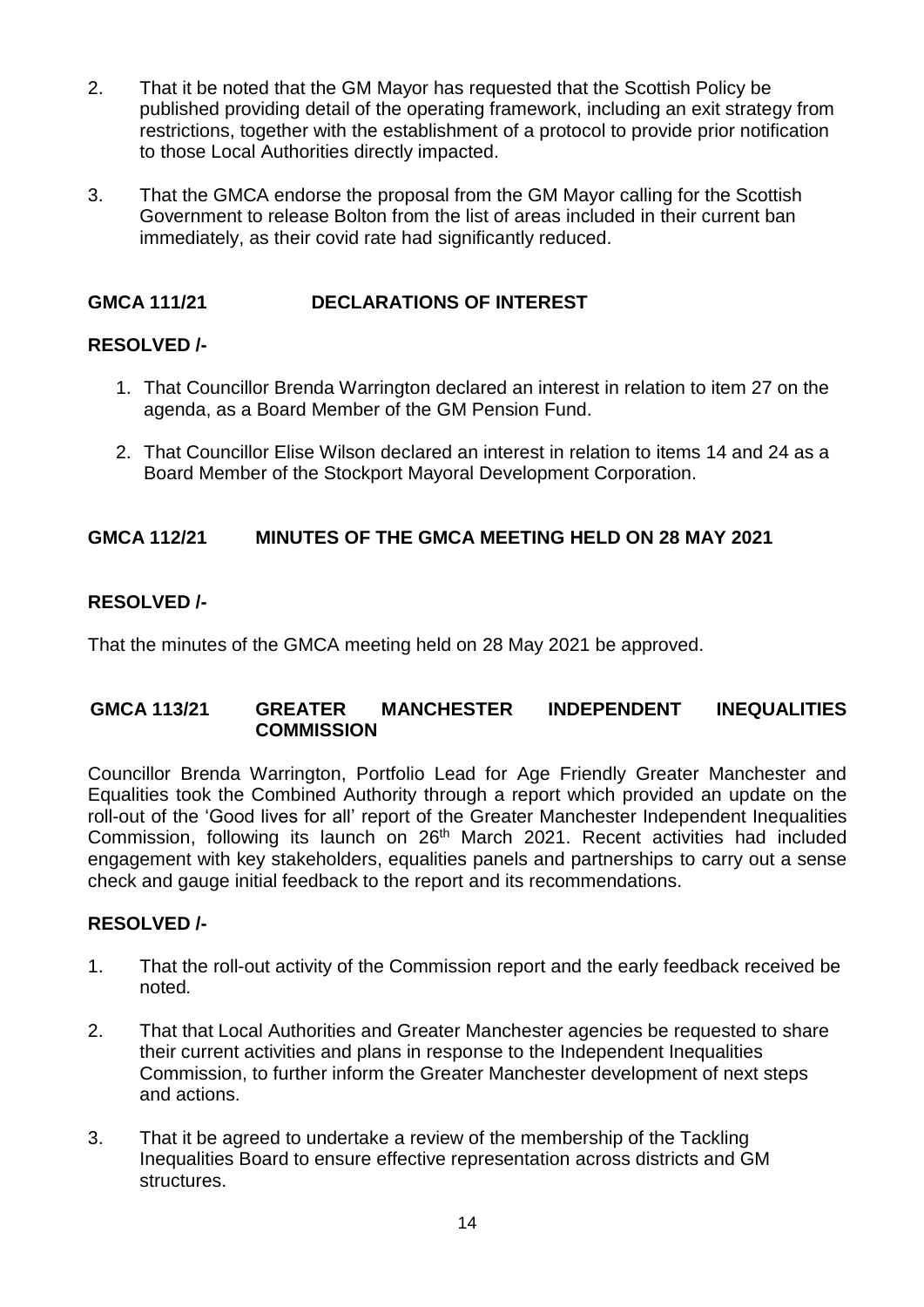- 2. That it be noted that the GM Mayor has requested that the Scottish Policy be published providing detail of the operating framework, including an exit strategy from restrictions, together with the establishment of a protocol to provide prior notification to those Local Authorities directly impacted.
- 3. That the GMCA endorse the proposal from the GM Mayor calling for the Scottish Government to release Bolton from the list of areas included in their current ban immediately, as their covid rate had significantly reduced.

## **GMCA 111/21 DECLARATIONS OF INTEREST**

## **RESOLVED /-**

- 1. That Councillor Brenda Warrington declared an interest in relation to item 27 on the agenda, as a Board Member of the GM Pension Fund.
- 2. That Councillor Elise Wilson declared an interest in relation to items 14 and 24 as a Board Member of the Stockport Mayoral Development Corporation.

## **GMCA 112/21 MINUTES OF THE GMCA MEETING HELD ON 28 MAY 2021**

## **RESOLVED /-**

That the minutes of the GMCA meeting held on 28 May 2021 be approved.

### **GMCA 113/21 GREATER MANCHESTER INDEPENDENT INEQUALITIES COMMISSION**

Councillor Brenda Warrington, Portfolio Lead for Age Friendly Greater Manchester and Equalities took the Combined Authority through a report which provided an update on the roll-out of the 'Good lives for all' report of the Greater Manchester Independent Inequalities Commission, following its launch on 26<sup>th</sup> March 2021. Recent activities had included engagement with key stakeholders, equalities panels and partnerships to carry out a sense check and gauge initial feedback to the report and its recommendations.

- 1. That the roll-out activity of the Commission report and the early feedback received be noted*.*
- 2. That that Local Authorities and Greater Manchester agencies be requested to share their current activities and plans in response to the Independent Inequalities Commission, to further inform the Greater Manchester development of next steps and actions.
- 3. That it be agreed to undertake a review of the membership of the Tackling Inequalities Board to ensure effective representation across districts and GM structures.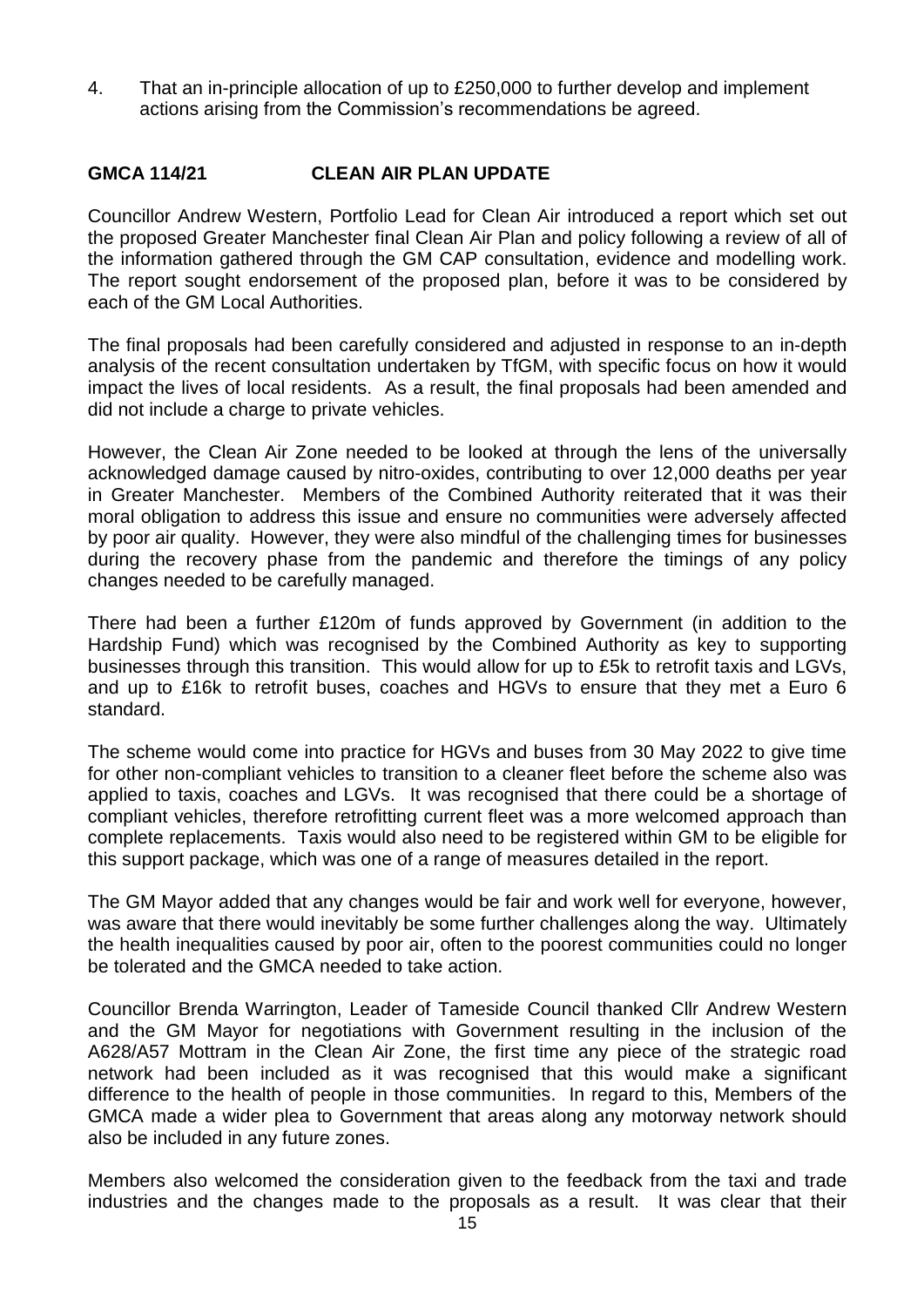4. That an in-principle allocation of up to £250,000 to further develop and implement actions arising from the Commission's recommendations be agreed.

### **GMCA 114/21 CLEAN AIR PLAN UPDATE**

Councillor Andrew Western, Portfolio Lead for Clean Air introduced a report which set out the proposed Greater Manchester final Clean Air Plan and policy following a review of all of the information gathered through the GM CAP consultation, evidence and modelling work. The report sought endorsement of the proposed plan, before it was to be considered by each of the GM Local Authorities.

The final proposals had been carefully considered and adjusted in response to an in-depth analysis of the recent consultation undertaken by TfGM, with specific focus on how it would impact the lives of local residents. As a result, the final proposals had been amended and did not include a charge to private vehicles.

However, the Clean Air Zone needed to be looked at through the lens of the universally acknowledged damage caused by nitro-oxides, contributing to over 12,000 deaths per year in Greater Manchester. Members of the Combined Authority reiterated that it was their moral obligation to address this issue and ensure no communities were adversely affected by poor air quality. However, they were also mindful of the challenging times for businesses during the recovery phase from the pandemic and therefore the timings of any policy changes needed to be carefully managed.

There had been a further £120m of funds approved by Government (in addition to the Hardship Fund) which was recognised by the Combined Authority as key to supporting businesses through this transition. This would allow for up to £5k to retrofit taxis and LGVs, and up to £16k to retrofit buses, coaches and HGVs to ensure that they met a Euro 6 standard.

The scheme would come into practice for HGVs and buses from 30 May 2022 to give time for other non-compliant vehicles to transition to a cleaner fleet before the scheme also was applied to taxis, coaches and LGVs. It was recognised that there could be a shortage of compliant vehicles, therefore retrofitting current fleet was a more welcomed approach than complete replacements. Taxis would also need to be registered within GM to be eligible for this support package, which was one of a range of measures detailed in the report.

The GM Mayor added that any changes would be fair and work well for everyone, however, was aware that there would inevitably be some further challenges along the way. Ultimately the health inequalities caused by poor air, often to the poorest communities could no longer be tolerated and the GMCA needed to take action.

Councillor Brenda Warrington, Leader of Tameside Council thanked Cllr Andrew Western and the GM Mayor for negotiations with Government resulting in the inclusion of the A628/A57 Mottram in the Clean Air Zone, the first time any piece of the strategic road network had been included as it was recognised that this would make a significant difference to the health of people in those communities. In regard to this, Members of the GMCA made a wider plea to Government that areas along any motorway network should also be included in any future zones.

Members also welcomed the consideration given to the feedback from the taxi and trade industries and the changes made to the proposals as a result. It was clear that their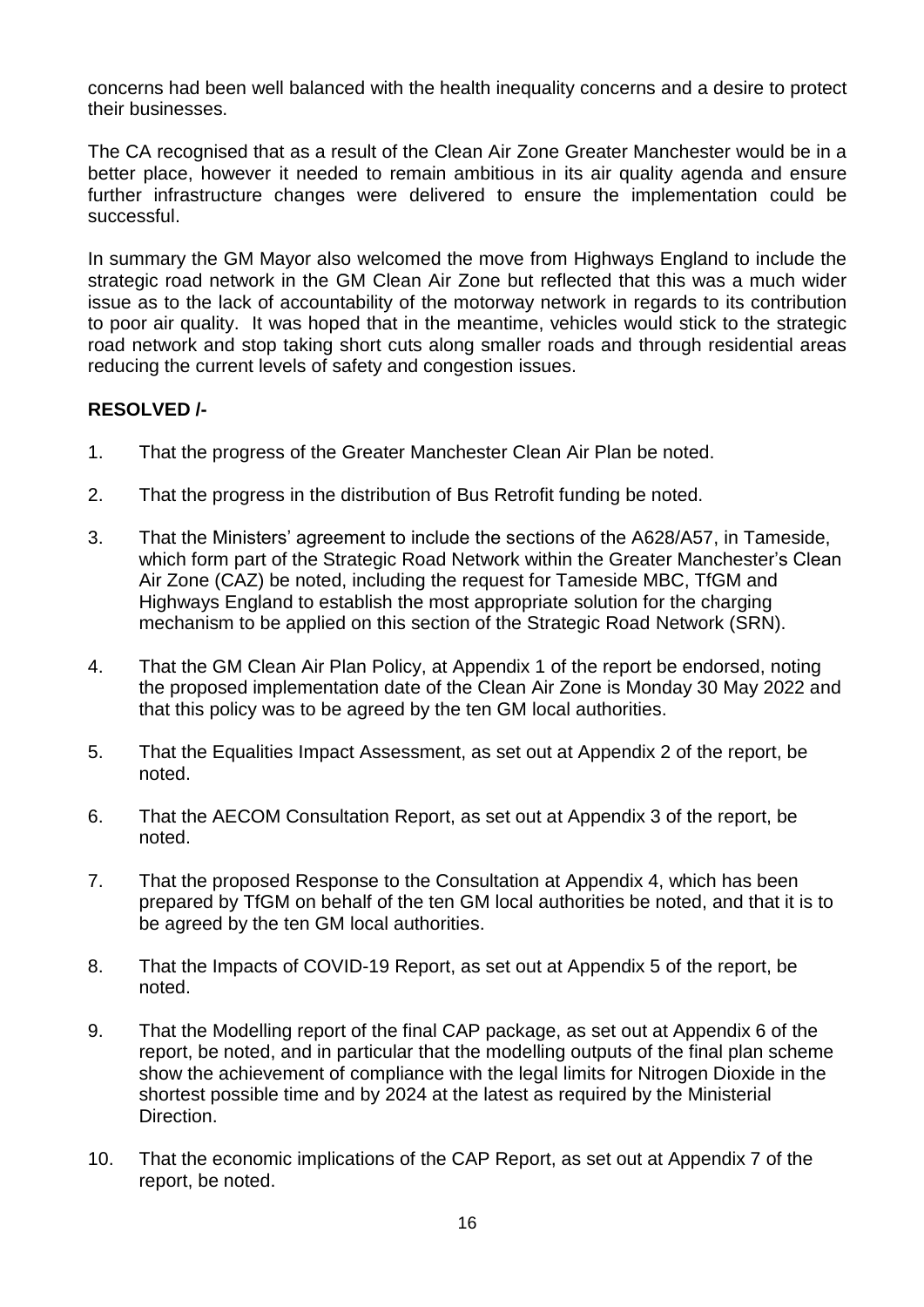concerns had been well balanced with the health inequality concerns and a desire to protect their businesses.

The CA recognised that as a result of the Clean Air Zone Greater Manchester would be in a better place, however it needed to remain ambitious in its air quality agenda and ensure further infrastructure changes were delivered to ensure the implementation could be successful.

In summary the GM Mayor also welcomed the move from Highways England to include the strategic road network in the GM Clean Air Zone but reflected that this was a much wider issue as to the lack of accountability of the motorway network in regards to its contribution to poor air quality. It was hoped that in the meantime, vehicles would stick to the strategic road network and stop taking short cuts along smaller roads and through residential areas reducing the current levels of safety and congestion issues.

- 1. That the progress of the Greater Manchester Clean Air Plan be noted.
- 2. That the progress in the distribution of Bus Retrofit funding be noted.
- 3. That the Ministers' agreement to include the sections of the A628/A57, in Tameside, which form part of the Strategic Road Network within the Greater Manchester's Clean Air Zone (CAZ) be noted, including the request for Tameside MBC, TfGM and Highways England to establish the most appropriate solution for the charging mechanism to be applied on this section of the Strategic Road Network (SRN).
- 4. That the GM Clean Air Plan Policy, at Appendix 1 of the report be endorsed, noting the proposed implementation date of the Clean Air Zone is Monday 30 May 2022 and that this policy was to be agreed by the ten GM local authorities.
- 5. That the Equalities Impact Assessment, as set out at Appendix 2 of the report, be noted.
- 6. That the AECOM Consultation Report, as set out at Appendix 3 of the report, be noted.
- 7. That the proposed Response to the Consultation at Appendix 4, which has been prepared by TfGM on behalf of the ten GM local authorities be noted, and that it is to be agreed by the ten GM local authorities.
- 8. That the Impacts of COVID-19 Report, as set out at Appendix 5 of the report, be noted.
- 9. That the Modelling report of the final CAP package, as set out at Appendix 6 of the report, be noted, and in particular that the modelling outputs of the final plan scheme show the achievement of compliance with the legal limits for Nitrogen Dioxide in the shortest possible time and by 2024 at the latest as required by the Ministerial Direction.
- 10. That the economic implications of the CAP Report, as set out at Appendix 7 of the report, be noted.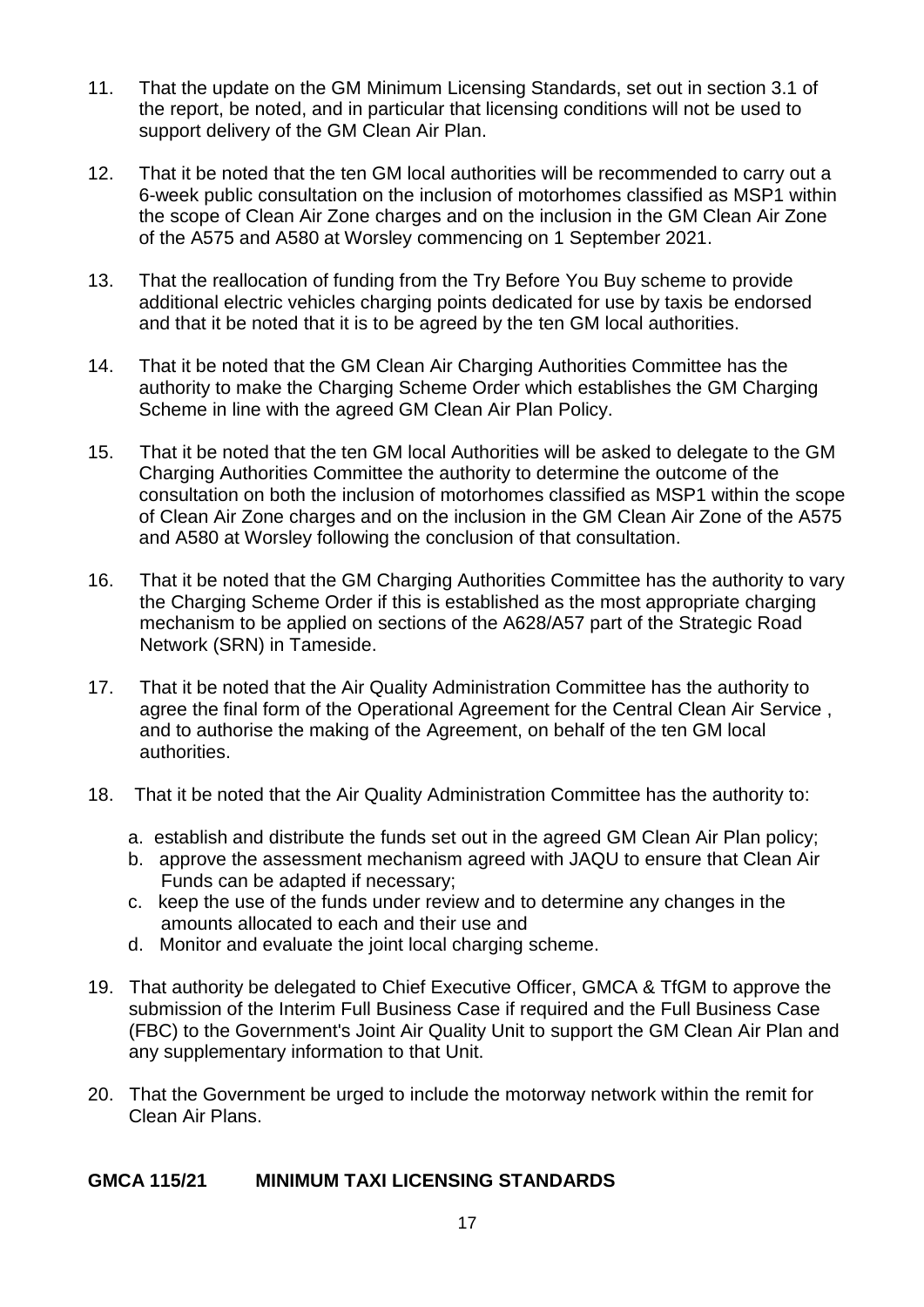- 11. That the update on the GM Minimum Licensing Standards, set out in section 3.1 of the report, be noted, and in particular that licensing conditions will not be used to support delivery of the GM Clean Air Plan.
- 12. That it be noted that the ten GM local authorities will be recommended to carry out a 6-week public consultation on the inclusion of motorhomes classified as MSP1 within the scope of Clean Air Zone charges and on the inclusion in the GM Clean Air Zone of the A575 and A580 at Worsley commencing on 1 September 2021.
- 13. That the reallocation of funding from the Try Before You Buy scheme to provide additional electric vehicles charging points dedicated for use by taxis be endorsed and that it be noted that it is to be agreed by the ten GM local authorities.
- 14. That it be noted that the GM Clean Air Charging Authorities Committee has the authority to make the Charging Scheme Order which establishes the GM Charging Scheme in line with the agreed GM Clean Air Plan Policy.
- 15. That it be noted that the ten GM local Authorities will be asked to delegate to the GM Charging Authorities Committee the authority to determine the outcome of the consultation on both the inclusion of motorhomes classified as MSP1 within the scope of Clean Air Zone charges and on the inclusion in the GM Clean Air Zone of the A575 and A580 at Worsley following the conclusion of that consultation.
- 16. That it be noted that the GM Charging Authorities Committee has the authority to vary the Charging Scheme Order if this is established as the most appropriate charging mechanism to be applied on sections of the A628/A57 part of the Strategic Road Network (SRN) in Tameside.
- 17. That it be noted that the Air Quality Administration Committee has the authority to agree the final form of the Operational Agreement for the Central Clean Air Service , and to authorise the making of the Agreement, on behalf of the ten GM local authorities.
- 18. That it be noted that the Air Quality Administration Committee has the authority to:
	- a. establish and distribute the funds set out in the agreed GM Clean Air Plan policy;
	- b. approve the assessment mechanism agreed with JAQU to ensure that Clean Air Funds can be adapted if necessary;
	- c. keep the use of the funds under review and to determine any changes in the amounts allocated to each and their use and
	- d. Monitor and evaluate the joint local charging scheme.
- 19. That authority be delegated to Chief Executive Officer, GMCA & TfGM to approve the submission of the Interim Full Business Case if required and the Full Business Case (FBC) to the Government's Joint Air Quality Unit to support the GM Clean Air Plan and any supplementary information to that Unit.
- 20. That the Government be urged to include the motorway network within the remit for Clean Air Plans.

## **GMCA 115/21 MINIMUM TAXI LICENSING STANDARDS**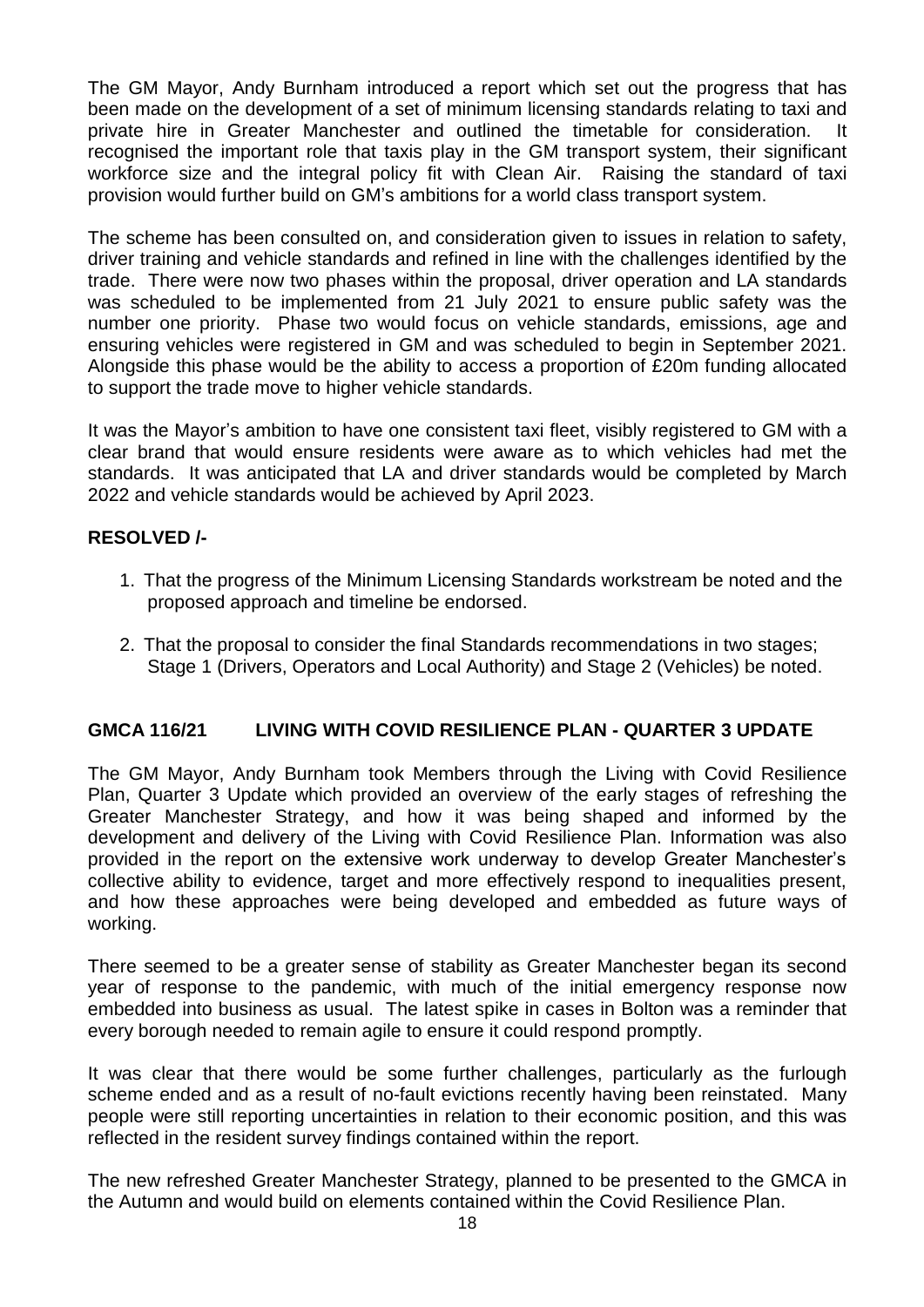The GM Mayor, Andy Burnham introduced a report which set out the progress that has been made on the development of a set of minimum licensing standards relating to taxi and private hire in Greater Manchester and outlined the timetable for consideration. It recognised the important role that taxis play in the GM transport system, their significant workforce size and the integral policy fit with Clean Air. Raising the standard of taxi provision would further build on GM's ambitions for a world class transport system.

The scheme has been consulted on, and consideration given to issues in relation to safety, driver training and vehicle standards and refined in line with the challenges identified by the trade. There were now two phases within the proposal, driver operation and LA standards was scheduled to be implemented from 21 July 2021 to ensure public safety was the number one priority. Phase two would focus on vehicle standards, emissions, age and ensuring vehicles were registered in GM and was scheduled to begin in September 2021. Alongside this phase would be the ability to access a proportion of £20m funding allocated to support the trade move to higher vehicle standards.

It was the Mayor's ambition to have one consistent taxi fleet, visibly registered to GM with a clear brand that would ensure residents were aware as to which vehicles had met the standards. It was anticipated that LA and driver standards would be completed by March 2022 and vehicle standards would be achieved by April 2023.

### **RESOLVED /-**

- 1. That the progress of the Minimum Licensing Standards workstream be noted and the proposed approach and timeline be endorsed.
- 2. That the proposal to consider the final Standards recommendations in two stages; Stage 1 (Drivers, Operators and Local Authority) and Stage 2 (Vehicles) be noted.

## **GMCA 116/21 LIVING WITH COVID RESILIENCE PLAN - QUARTER 3 UPDATE**

The GM Mayor, Andy Burnham took Members through the Living with Covid Resilience Plan, Quarter 3 Update which provided an overview of the early stages of refreshing the Greater Manchester Strategy, and how it was being shaped and informed by the development and delivery of the Living with Covid Resilience Plan. Information was also provided in the report on the extensive work underway to develop Greater Manchester's collective ability to evidence, target and more effectively respond to inequalities present, and how these approaches were being developed and embedded as future ways of working.

There seemed to be a greater sense of stability as Greater Manchester began its second year of response to the pandemic, with much of the initial emergency response now embedded into business as usual. The latest spike in cases in Bolton was a reminder that every borough needed to remain agile to ensure it could respond promptly.

It was clear that there would be some further challenges, particularly as the furlough scheme ended and as a result of no-fault evictions recently having been reinstated. Many people were still reporting uncertainties in relation to their economic position, and this was reflected in the resident survey findings contained within the report.

The new refreshed Greater Manchester Strategy, planned to be presented to the GMCA in the Autumn and would build on elements contained within the Covid Resilience Plan.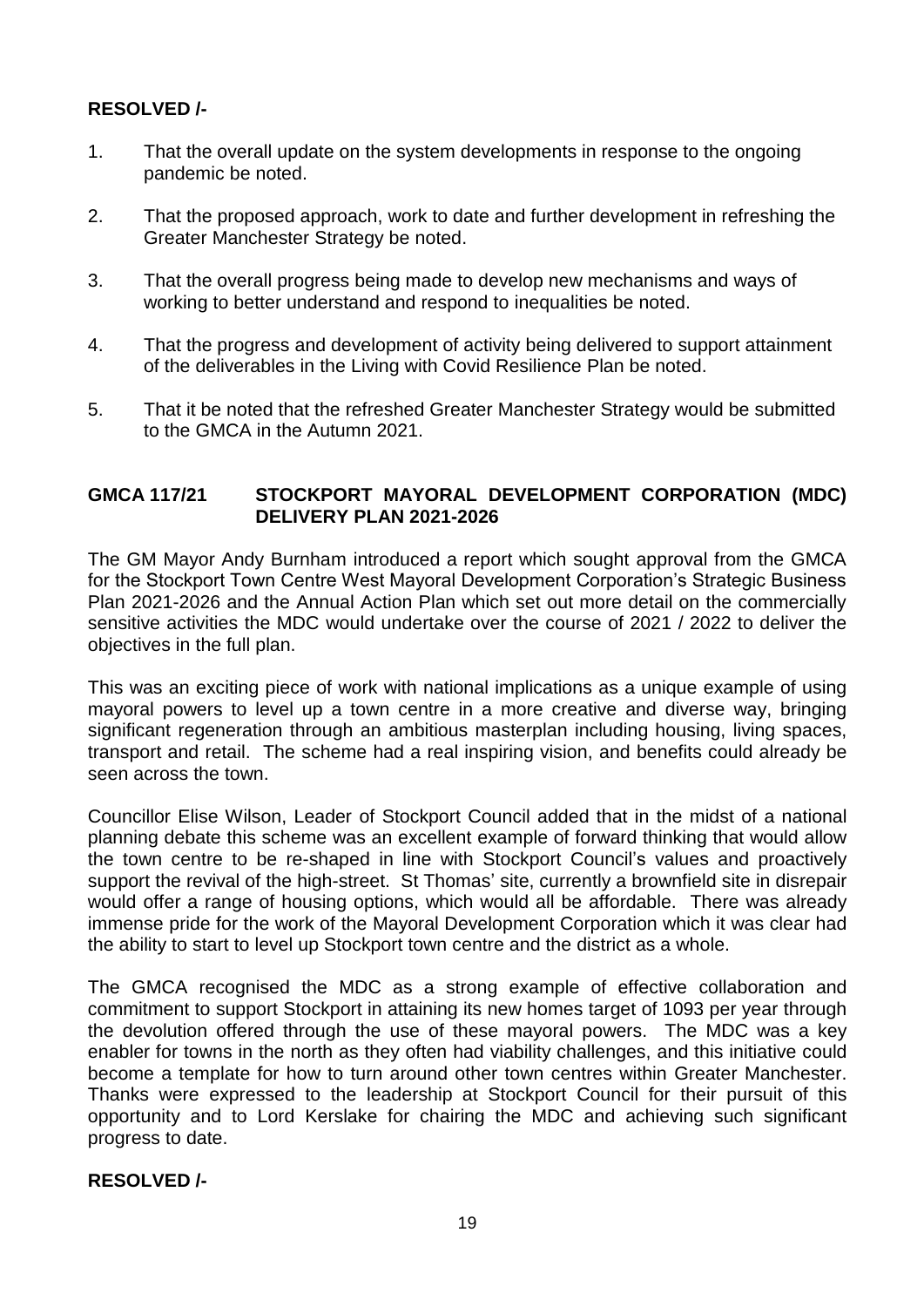## **RESOLVED /-**

- 1. That the overall update on the system developments in response to the ongoing pandemic be noted.
- 2. That the proposed approach, work to date and further development in refreshing the Greater Manchester Strategy be noted.
- 3. That the overall progress being made to develop new mechanisms and ways of working to better understand and respond to inequalities be noted.
- 4. That the progress and development of activity being delivered to support attainment of the deliverables in the Living with Covid Resilience Plan be noted.
- 5. That it be noted that the refreshed Greater Manchester Strategy would be submitted to the GMCA in the Autumn 2021.

### **GMCA 117/21 STOCKPORT MAYORAL DEVELOPMENT CORPORATION (MDC) DELIVERY PLAN 2021-2026**

The GM Mayor Andy Burnham introduced a report which sought approval from the GMCA for the Stockport Town Centre West Mayoral Development Corporation's Strategic Business Plan 2021-2026 and the Annual Action Plan which set out more detail on the commercially sensitive activities the MDC would undertake over the course of 2021 / 2022 to deliver the objectives in the full plan.

This was an exciting piece of work with national implications as a unique example of using mayoral powers to level up a town centre in a more creative and diverse way, bringing significant regeneration through an ambitious masterplan including housing, living spaces, transport and retail. The scheme had a real inspiring vision, and benefits could already be seen across the town.

Councillor Elise Wilson, Leader of Stockport Council added that in the midst of a national planning debate this scheme was an excellent example of forward thinking that would allow the town centre to be re-shaped in line with Stockport Council's values and proactively support the revival of the high-street. St Thomas' site, currently a brownfield site in disrepair would offer a range of housing options, which would all be affordable. There was already immense pride for the work of the Mayoral Development Corporation which it was clear had the ability to start to level up Stockport town centre and the district as a whole.

The GMCA recognised the MDC as a strong example of effective collaboration and commitment to support Stockport in attaining its new homes target of 1093 per year through the devolution offered through the use of these mayoral powers. The MDC was a key enabler for towns in the north as they often had viability challenges, and this initiative could become a template for how to turn around other town centres within Greater Manchester. Thanks were expressed to the leadership at Stockport Council for their pursuit of this opportunity and to Lord Kerslake for chairing the MDC and achieving such significant progress to date.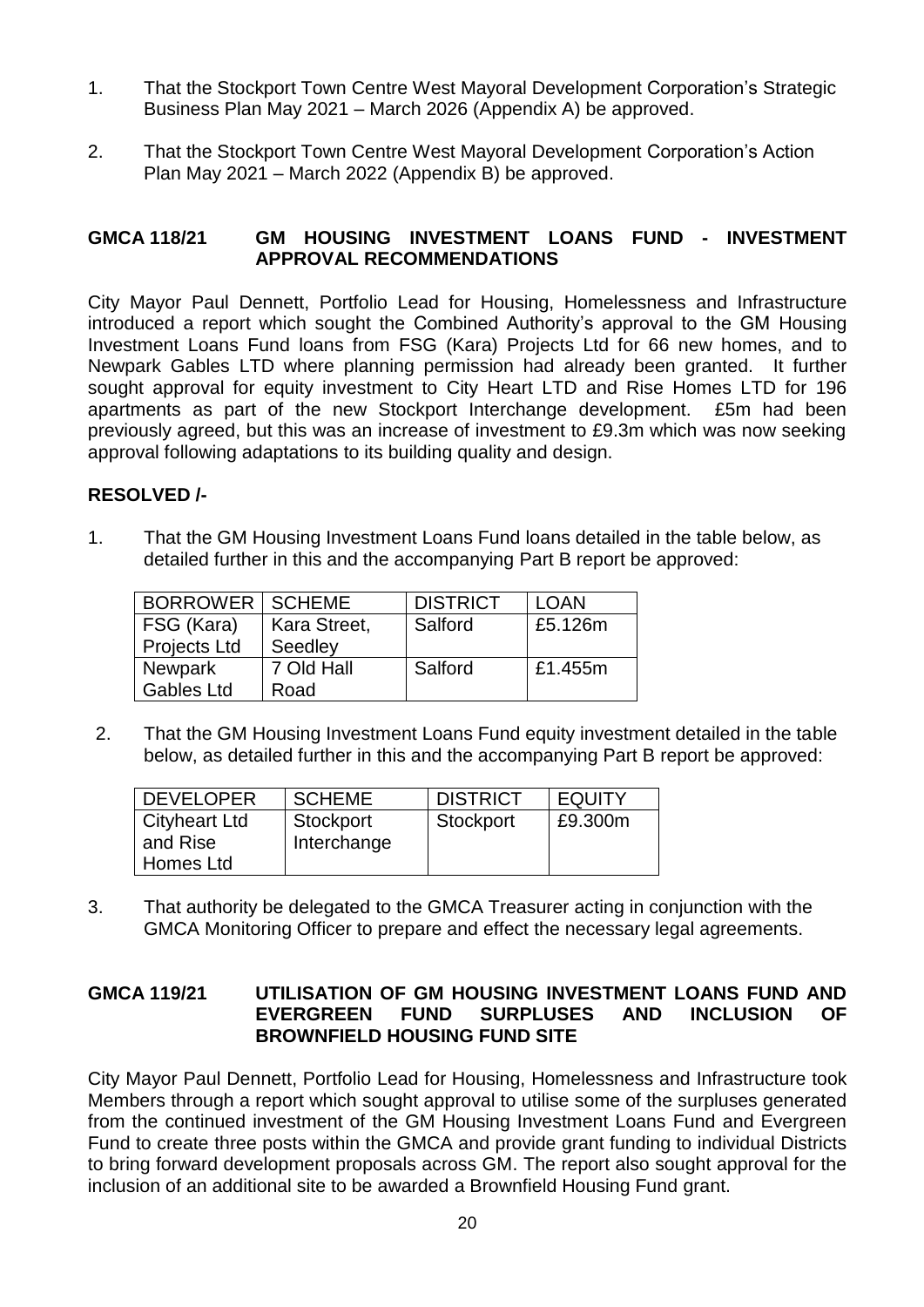- 1. That the Stockport Town Centre West Mayoral Development Corporation's Strategic Business Plan May 2021 – March 2026 (Appendix A) be approved.
- 2. That the Stockport Town Centre West Mayoral Development Corporation's Action Plan May 2021 – March 2022 (Appendix B) be approved.

### **GMCA 118/21 GM HOUSING INVESTMENT LOANS FUND - INVESTMENT APPROVAL RECOMMENDATIONS**

City Mayor Paul Dennett, Portfolio Lead for Housing, Homelessness and Infrastructure introduced a report which sought the Combined Authority's approval to the GM Housing Investment Loans Fund loans from FSG (Kara) Projects Ltd for 66 new homes, and to Newpark Gables LTD where planning permission had already been granted. It further sought approval for equity investment to City Heart LTD and Rise Homes LTD for 196 apartments as part of the new Stockport Interchange development. £5m had been previously agreed, but this was an increase of investment to £9.3m which was now seeking approval following adaptations to its building quality and design.

## **RESOLVED /-**

1. That the GM Housing Investment Loans Fund loans detailed in the table below, as detailed further in this and the accompanying Part B report be approved:

| BORROWER SCHEME     |              | <b>DISTRICT</b> | <b>LOAN</b> |
|---------------------|--------------|-----------------|-------------|
| FSG (Kara)          | Kara Street, | Salford         | £5.126m     |
| <b>Projects Ltd</b> | Seedley      |                 |             |
| <b>Newpark</b>      | 7 Old Hall   | Salford         | £1.455m     |
| <b>Gables Ltd</b>   | Road         |                 |             |

2. That the GM Housing Investment Loans Fund equity investment detailed in the table below, as detailed further in this and the accompanying Part B report be approved:

| <b>DEVELOPER</b>                 | <b>SCHEME</b>            | <b>DISTRICT</b> | <b>EQUITY</b> |
|----------------------------------|--------------------------|-----------------|---------------|
| <b>Cityheart Ltd</b><br>and Rise | Stockport<br>Interchange | Stockport       | £9.300m       |
| Homes Ltd                        |                          |                 |               |

3. That authority be delegated to the GMCA Treasurer acting in conjunction with the GMCA Monitoring Officer to prepare and effect the necessary legal agreements.

### **GMCA 119/21 UTILISATION OF GM HOUSING INVESTMENT LOANS FUND AND EVERGREEN FUND SURPLUSES AND INCLUSION OF BROWNFIELD HOUSING FUND SITE**

City Mayor Paul Dennett, Portfolio Lead for Housing, Homelessness and Infrastructure took Members through a report which sought approval to utilise some of the surpluses generated from the continued investment of the GM Housing Investment Loans Fund and Evergreen Fund to create three posts within the GMCA and provide grant funding to individual Districts to bring forward development proposals across GM. The report also sought approval for the inclusion of an additional site to be awarded a Brownfield Housing Fund grant.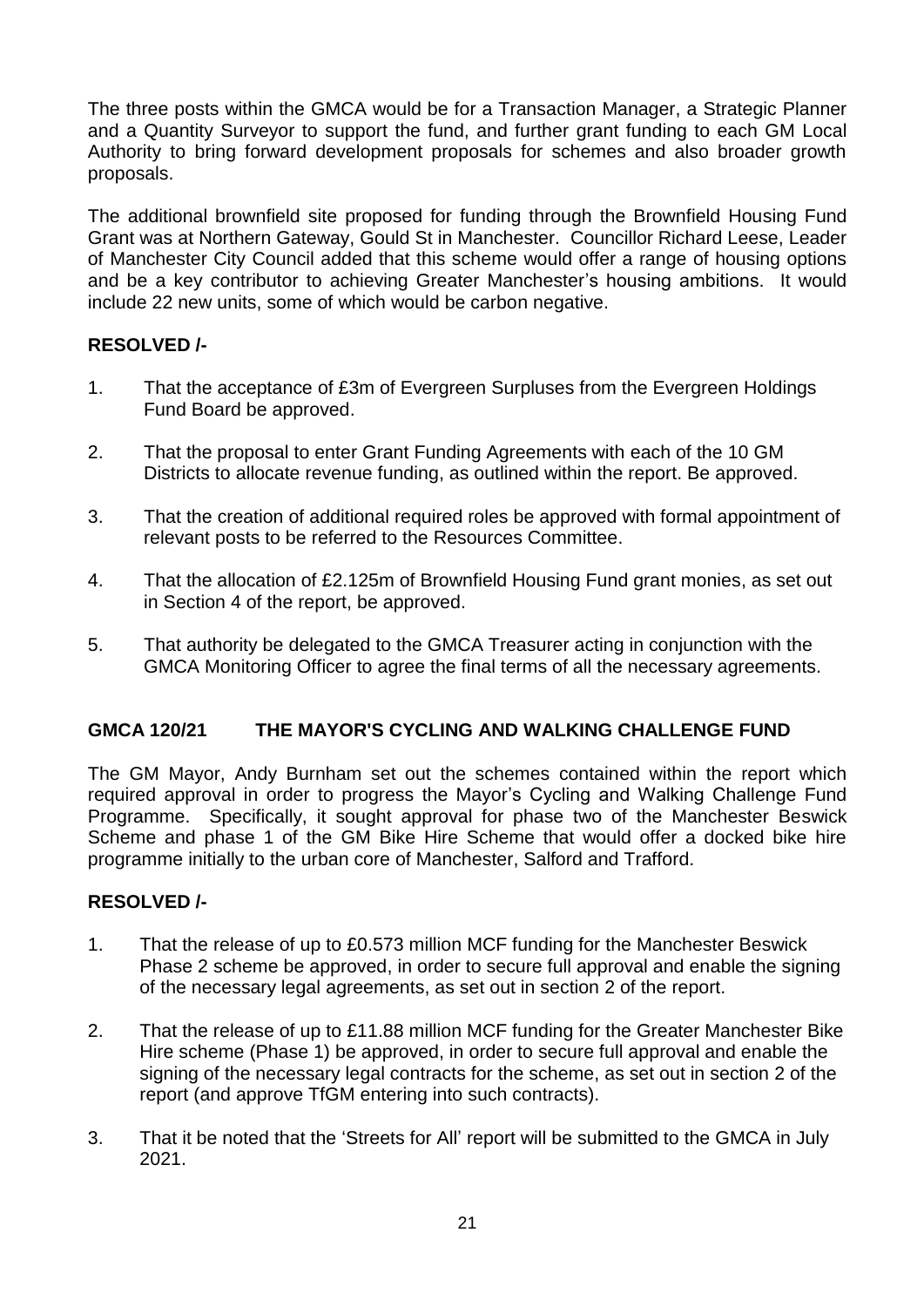The three posts within the GMCA would be for a Transaction Manager, a Strategic Planner and a Quantity Surveyor to support the fund, and further grant funding to each GM Local Authority to bring forward development proposals for schemes and also broader growth proposals.

The additional brownfield site proposed for funding through the Brownfield Housing Fund Grant was at Northern Gateway, Gould St in Manchester. Councillor Richard Leese, Leader of Manchester City Council added that this scheme would offer a range of housing options and be a key contributor to achieving Greater Manchester's housing ambitions. It would include 22 new units, some of which would be carbon negative.

# **RESOLVED /-**

- 1. That the acceptance of £3m of Evergreen Surpluses from the Evergreen Holdings Fund Board be approved.
- 2. That the proposal to enter Grant Funding Agreements with each of the 10 GM Districts to allocate revenue funding, as outlined within the report. Be approved.
- 3. That the creation of additional required roles be approved with formal appointment of relevant posts to be referred to the Resources Committee.
- 4. That the allocation of £2.125m of Brownfield Housing Fund grant monies, as set out in Section 4 of the report, be approved.
- 5. That authority be delegated to the GMCA Treasurer acting in conjunction with the GMCA Monitoring Officer to agree the final terms of all the necessary agreements.

## **GMCA 120/21 THE MAYOR'S CYCLING AND WALKING CHALLENGE FUND**

The GM Mayor, Andy Burnham set out the schemes contained within the report which required approval in order to progress the Mayor's Cycling and Walking Challenge Fund Programme. Specifically, it sought approval for phase two of the Manchester Beswick Scheme and phase 1 of the GM Bike Hire Scheme that would offer a docked bike hire programme initially to the urban core of Manchester, Salford and Trafford.

- 1. That the release of up to £0.573 million MCF funding for the Manchester Beswick Phase 2 scheme be approved, in order to secure full approval and enable the signing of the necessary legal agreements, as set out in section 2 of the report.
- 2. That the release of up to £11.88 million MCF funding for the Greater Manchester Bike Hire scheme (Phase 1) be approved, in order to secure full approval and enable the signing of the necessary legal contracts for the scheme, as set out in section 2 of the report (and approve TfGM entering into such contracts).
- 3. That it be noted that the 'Streets for All' report will be submitted to the GMCA in July 2021.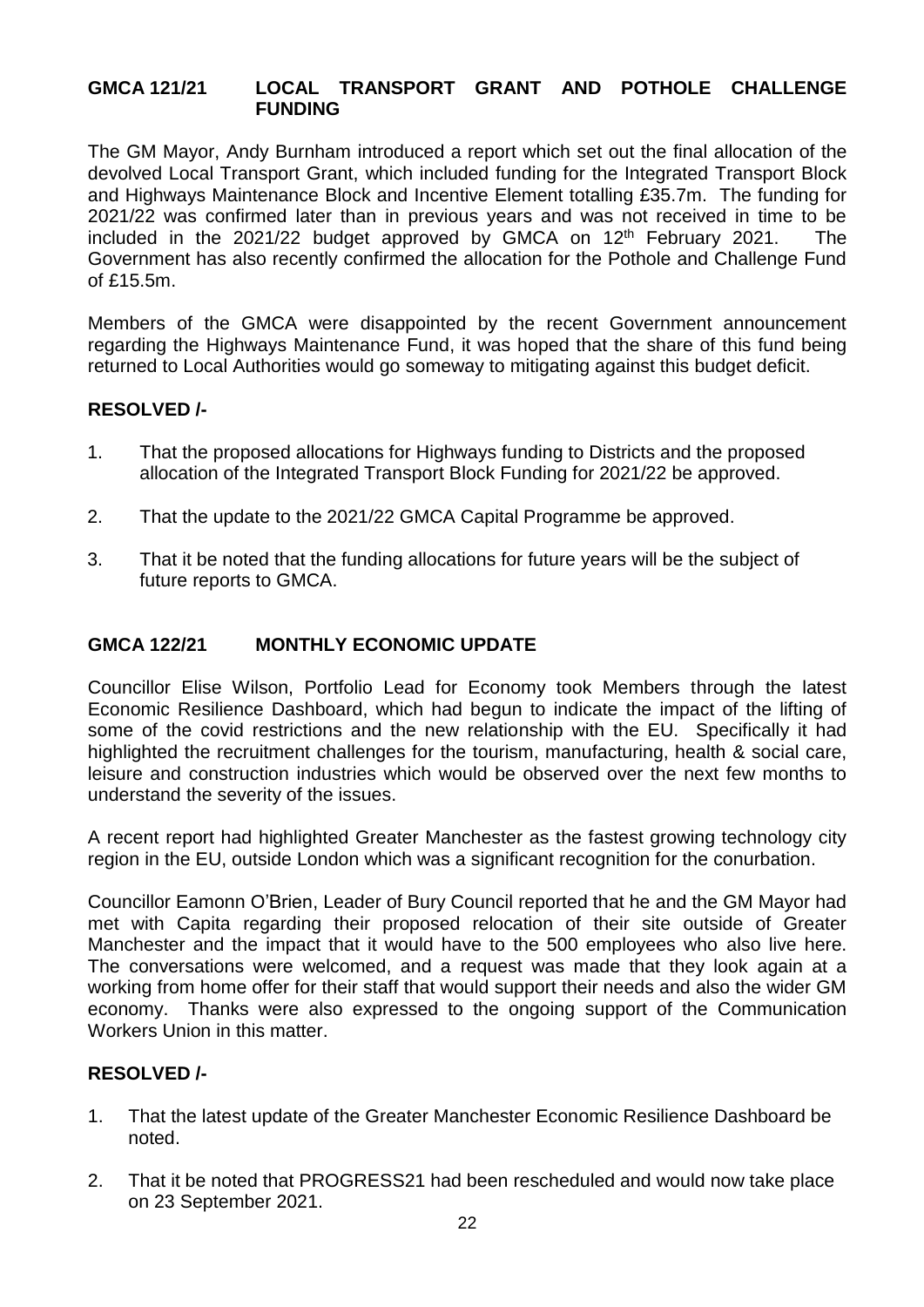### **GMCA 121/21 LOCAL TRANSPORT GRANT AND POTHOLE CHALLENGE FUNDING**

The GM Mayor, Andy Burnham introduced a report which set out the final allocation of the devolved Local Transport Grant, which included funding for the Integrated Transport Block and Highways Maintenance Block and Incentive Element totalling £35.7m. The funding for 2021/22 was confirmed later than in previous years and was not received in time to be included in the  $2021/22$  budget approved by GMCA on  $12<sup>th</sup>$  February 2021. The Government has also recently confirmed the allocation for the Pothole and Challenge Fund of £15.5m.

Members of the GMCA were disappointed by the recent Government announcement regarding the Highways Maintenance Fund, it was hoped that the share of this fund being returned to Local Authorities would go someway to mitigating against this budget deficit.

### **RESOLVED /-**

- 1. That the proposed allocations for Highways funding to Districts and the proposed allocation of the Integrated Transport Block Funding for 2021/22 be approved.
- 2. That the update to the 2021/22 GMCA Capital Programme be approved.
- 3. That it be noted that the funding allocations for future years will be the subject of future reports to GMCA.

### **GMCA 122/21 MONTHLY ECONOMIC UPDATE**

Councillor Elise Wilson, Portfolio Lead for Economy took Members through the latest Economic Resilience Dashboard, which had begun to indicate the impact of the lifting of some of the covid restrictions and the new relationship with the EU. Specifically it had highlighted the recruitment challenges for the tourism, manufacturing, health & social care, leisure and construction industries which would be observed over the next few months to understand the severity of the issues.

A recent report had highlighted Greater Manchester as the fastest growing technology city region in the EU, outside London which was a significant recognition for the conurbation.

Councillor Eamonn O'Brien, Leader of Bury Council reported that he and the GM Mayor had met with Capita regarding their proposed relocation of their site outside of Greater Manchester and the impact that it would have to the 500 employees who also live here. The conversations were welcomed, and a request was made that they look again at a working from home offer for their staff that would support their needs and also the wider GM economy. Thanks were also expressed to the ongoing support of the Communication Workers Union in this matter.

- 1. That the latest update of the Greater Manchester Economic Resilience Dashboard be noted.
- 2. That it be noted that PROGRESS21 had been rescheduled and would now take place on 23 September 2021.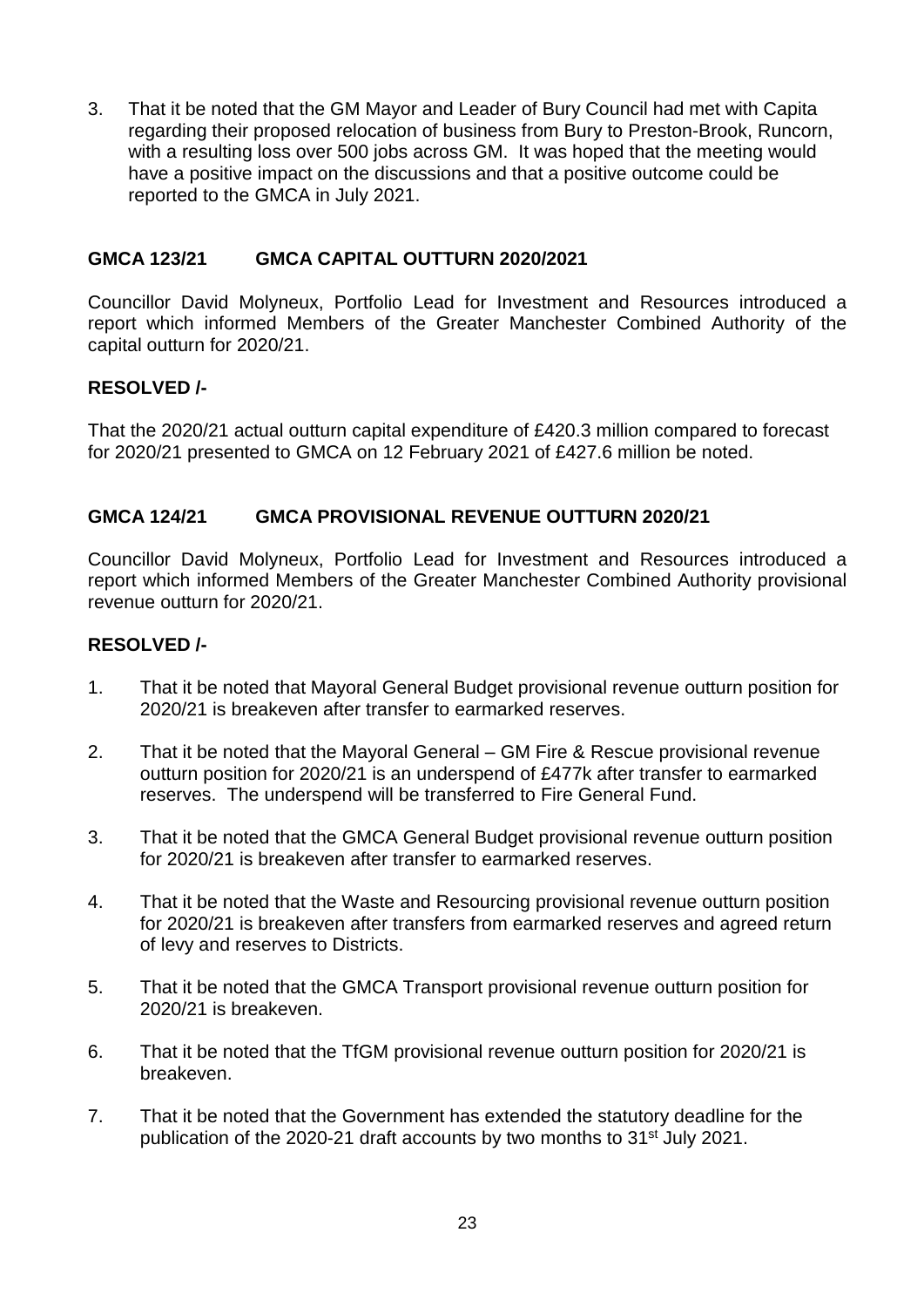3. That it be noted that the GM Mayor and Leader of Bury Council had met with Capita regarding their proposed relocation of business from Bury to Preston-Brook, Runcorn, with a resulting loss over 500 jobs across GM. It was hoped that the meeting would have a positive impact on the discussions and that a positive outcome could be reported to the GMCA in July 2021.

### **GMCA 123/21 GMCA CAPITAL OUTTURN 2020/2021**

Councillor David Molyneux, Portfolio Lead for Investment and Resources introduced a report which informed Members of the Greater Manchester Combined Authority of the capital outturn for 2020/21.

### **RESOLVED /-**

That the 2020/21 actual outturn capital expenditure of £420.3 million compared to forecast for 2020/21 presented to GMCA on 12 February 2021 of £427.6 million be noted.

### **GMCA 124/21 GMCA PROVISIONAL REVENUE OUTTURN 2020/21**

Councillor David Molyneux, Portfolio Lead for Investment and Resources introduced a report which informed Members of the Greater Manchester Combined Authority provisional revenue outturn for 2020/21.

- 1. That it be noted that Mayoral General Budget provisional revenue outturn position for 2020/21 is breakeven after transfer to earmarked reserves.
- 2. That it be noted that the Mayoral General GM Fire & Rescue provisional revenue outturn position for 2020/21 is an underspend of £477k after transfer to earmarked reserves. The underspend will be transferred to Fire General Fund.
- 3. That it be noted that the GMCA General Budget provisional revenue outturn position for 2020/21 is breakeven after transfer to earmarked reserves.
- 4. That it be noted that the Waste and Resourcing provisional revenue outturn position for 2020/21 is breakeven after transfers from earmarked reserves and agreed return of levy and reserves to Districts.
- 5. That it be noted that the GMCA Transport provisional revenue outturn position for 2020/21 is breakeven.
- 6. That it be noted that the TfGM provisional revenue outturn position for 2020/21 is breakeven.
- 7. That it be noted that the Government has extended the statutory deadline for the publication of the 2020-21 draft accounts by two months to 31<sup>st</sup> July 2021.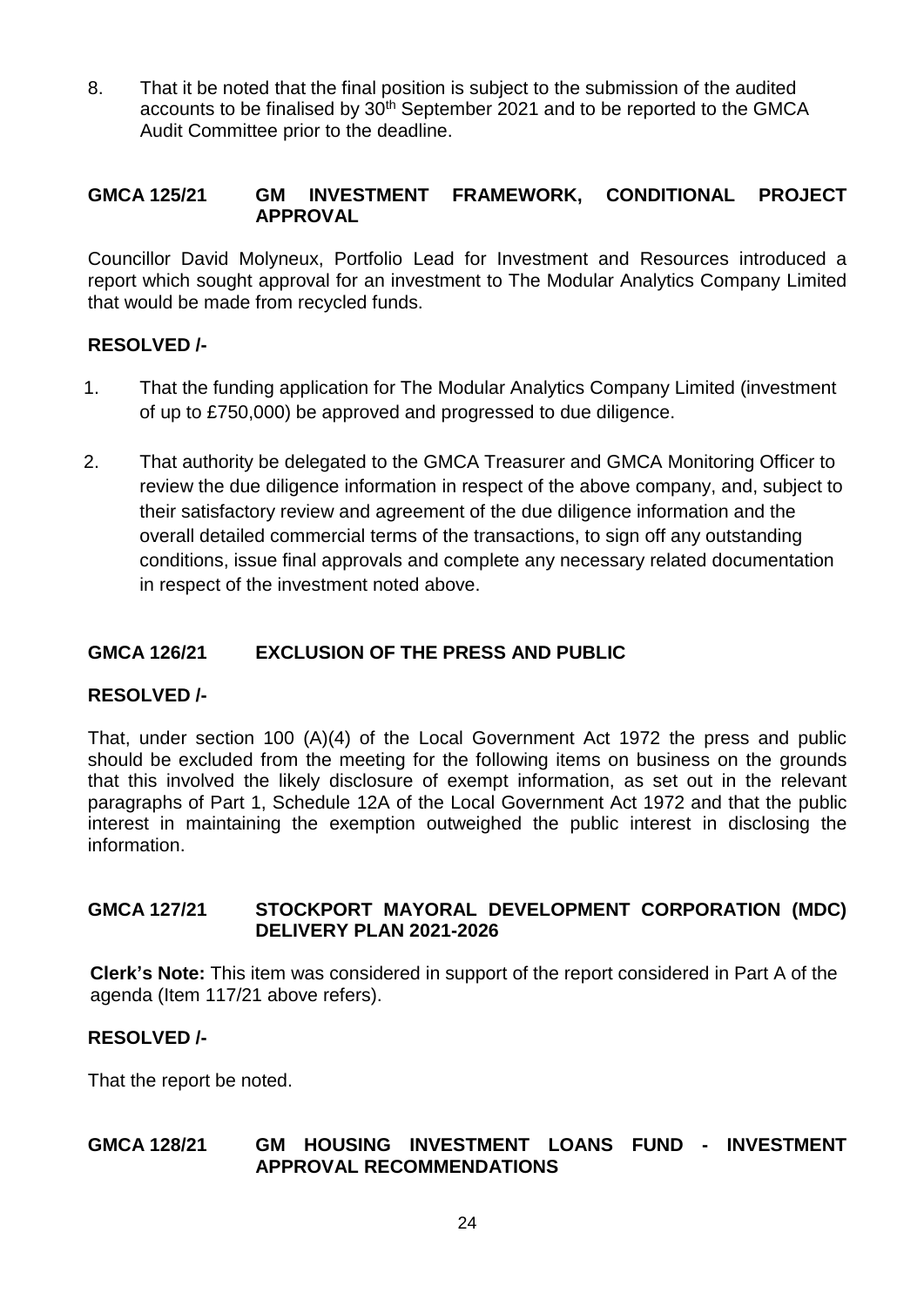8. That it be noted that the final position is subject to the submission of the audited accounts to be finalised by 30<sup>th</sup> September 2021 and to be reported to the GMCA Audit Committee prior to the deadline.

## **GMCA 125/21 GM INVESTMENT FRAMEWORK, CONDITIONAL PROJECT APPROVAL**

Councillor David Molyneux, Portfolio Lead for Investment and Resources introduced a report which sought approval for an investment to The Modular Analytics Company Limited that would be made from recycled funds.

## **RESOLVED /-**

- 1. That the funding application for The Modular Analytics Company Limited (investment of up to £750,000) be approved and progressed to due diligence.
- 2. That authority be delegated to the GMCA Treasurer and GMCA Monitoring Officer to review the due diligence information in respect of the above company, and, subject to their satisfactory review and agreement of the due diligence information and the overall detailed commercial terms of the transactions, to sign off any outstanding conditions, issue final approvals and complete any necessary related documentation in respect of the investment noted above.

### **GMCA 126/21 EXCLUSION OF THE PRESS AND PUBLIC**

### **RESOLVED /-**

That, under section 100 (A)(4) of the Local Government Act 1972 the press and public should be excluded from the meeting for the following items on business on the grounds that this involved the likely disclosure of exempt information, as set out in the relevant paragraphs of Part 1, Schedule 12A of the Local Government Act 1972 and that the public interest in maintaining the exemption outweighed the public interest in disclosing the information.

### **GMCA 127/21 STOCKPORT MAYORAL DEVELOPMENT CORPORATION (MDC) DELIVERY PLAN 2021-2026**

**Clerk's Note:** This item was considered in support of the report considered in Part A of the agenda (Item 117/21 above refers).

### **RESOLVED /-**

That the report be noted.

### **GMCA 128/21 GM HOUSING INVESTMENT LOANS FUND - INVESTMENT APPROVAL RECOMMENDATIONS**